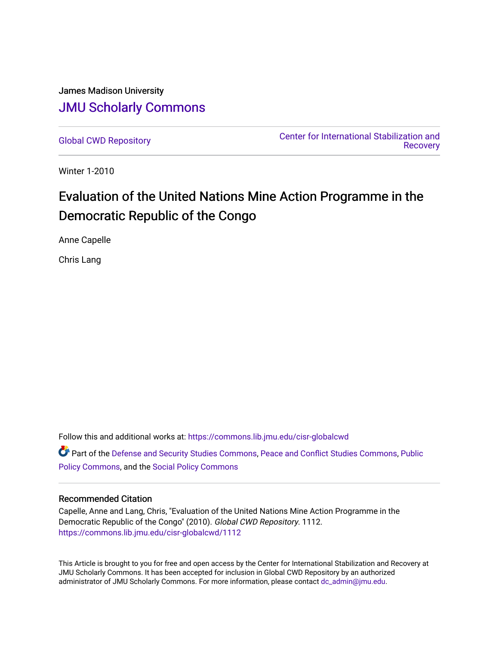# James Madison University [JMU Scholarly Commons](https://commons.lib.jmu.edu/)

[Global CWD Repository](https://commons.lib.jmu.edu/cisr-globalcwd) [Center for International Stabilization and](https://commons.lib.jmu.edu/cisr)  **Recovery** 

Winter 1-2010

# Evaluation of the United Nations Mine Action Programme in the Democratic Republic of the Congo

Anne Capelle

Chris Lang

Follow this and additional works at: [https://commons.lib.jmu.edu/cisr-globalcwd](https://commons.lib.jmu.edu/cisr-globalcwd?utm_source=commons.lib.jmu.edu%2Fcisr-globalcwd%2F1112&utm_medium=PDF&utm_campaign=PDFCoverPages) Part of the [Defense and Security Studies Commons](http://network.bepress.com/hgg/discipline/394?utm_source=commons.lib.jmu.edu%2Fcisr-globalcwd%2F1112&utm_medium=PDF&utm_campaign=PDFCoverPages), [Peace and Conflict Studies Commons](http://network.bepress.com/hgg/discipline/397?utm_source=commons.lib.jmu.edu%2Fcisr-globalcwd%2F1112&utm_medium=PDF&utm_campaign=PDFCoverPages), [Public](http://network.bepress.com/hgg/discipline/400?utm_source=commons.lib.jmu.edu%2Fcisr-globalcwd%2F1112&utm_medium=PDF&utm_campaign=PDFCoverPages) [Policy Commons](http://network.bepress.com/hgg/discipline/400?utm_source=commons.lib.jmu.edu%2Fcisr-globalcwd%2F1112&utm_medium=PDF&utm_campaign=PDFCoverPages), and the [Social Policy Commons](http://network.bepress.com/hgg/discipline/1030?utm_source=commons.lib.jmu.edu%2Fcisr-globalcwd%2F1112&utm_medium=PDF&utm_campaign=PDFCoverPages)

#### Recommended Citation

Capelle, Anne and Lang, Chris, "Evaluation of the United Nations Mine Action Programme in the Democratic Republic of the Congo" (2010). Global CWD Repository. 1112. [https://commons.lib.jmu.edu/cisr-globalcwd/1112](https://commons.lib.jmu.edu/cisr-globalcwd/1112?utm_source=commons.lib.jmu.edu%2Fcisr-globalcwd%2F1112&utm_medium=PDF&utm_campaign=PDFCoverPages) 

This Article is brought to you for free and open access by the Center for International Stabilization and Recovery at JMU Scholarly Commons. It has been accepted for inclusion in Global CWD Repository by an authorized administrator of JMU Scholarly Commons. For more information, please contact [dc\\_admin@jmu.edu](mailto:dc_admin@jmu.edu).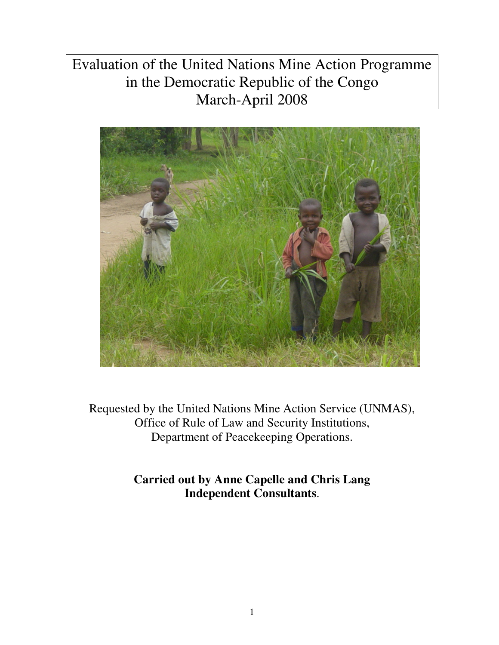# Evaluation of the United Nations Mine Action Programme in the Democratic Republic of the Congo March-April 2008



Requested by the United Nations Mine Action Service (UNMAS), Office of Rule of Law and Security Institutions, Department of Peacekeeping Operations.

> **Carried out by Anne Capelle and Chris Lang Independent Consultants**.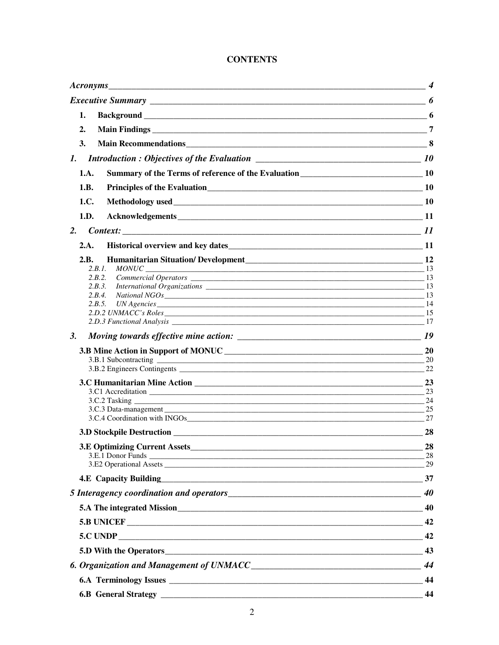### **CONTENTS**

| 1.                                                                                                           |                |
|--------------------------------------------------------------------------------------------------------------|----------------|
| 2.                                                                                                           | $\overline{7}$ |
| 3.                                                                                                           |                |
| 1.                                                                                                           |                |
| 1.A.                                                                                                         |                |
| Principles of the Evaluation<br><u>10</u><br>1.B.                                                            |                |
| 1.C.                                                                                                         |                |
| 1.D.                                                                                                         |                |
| 2.                                                                                                           |                |
| 2.A.                                                                                                         |                |
| 2.B.                                                                                                         |                |
| 2.B.1.                                                                                                       |                |
| 2.B.3.                                                                                                       |                |
| $National NGOs$ 13<br>2.8.4                                                                                  |                |
|                                                                                                              |                |
|                                                                                                              |                |
| 2.D.3 Functional Analysis 2.D.3 Functional Analysis 2.D.3 Functional Analysis 2.D.3 Functional Analysis 2.17 |                |
| 3.                                                                                                           |                |
|                                                                                                              |                |
|                                                                                                              | 20             |
|                                                                                                              | 22             |
|                                                                                                              | 23             |
|                                                                                                              | 23             |
|                                                                                                              | 24<br>25       |
| 3.C.4 Coordination with INGOs                                                                                | 27             |
|                                                                                                              | 28             |
|                                                                                                              | 28             |
|                                                                                                              |                |
|                                                                                                              |                |
| 4.E Capacity Building 37                                                                                     |                |
|                                                                                                              |                |
| 5.A The integrated Mission<br><u>40</u>                                                                      |                |
|                                                                                                              |                |
|                                                                                                              |                |
|                                                                                                              |                |
|                                                                                                              |                |
|                                                                                                              |                |
|                                                                                                              | 44             |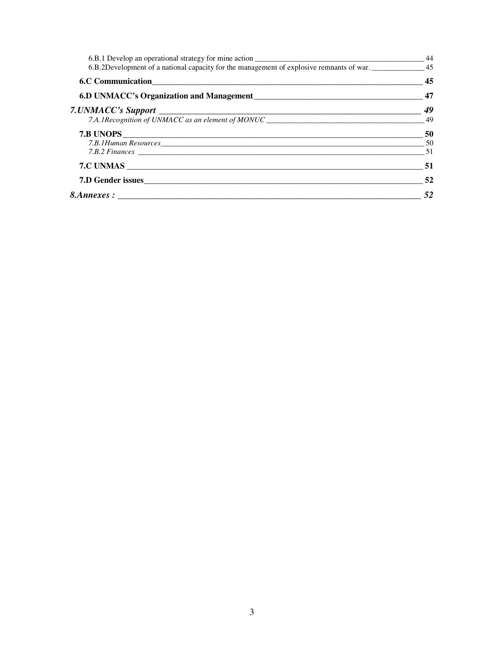|                                                                                                             | 44              |
|-------------------------------------------------------------------------------------------------------------|-----------------|
| 6.B.2Development of a national capacity for the management of explosive remnants of war. _______________ 45 |                 |
|                                                                                                             | $\overline{45}$ |
| 6.D UNMACC's Organization and Management<br>17                                                              |                 |
|                                                                                                             |                 |
|                                                                                                             |                 |
|                                                                                                             |                 |
|                                                                                                             |                 |
|                                                                                                             |                 |
| $\sim$ 51                                                                                                   |                 |
| 7.D Gender issues                                                                                           | 52              |
|                                                                                                             | $\frac{1}{52}$  |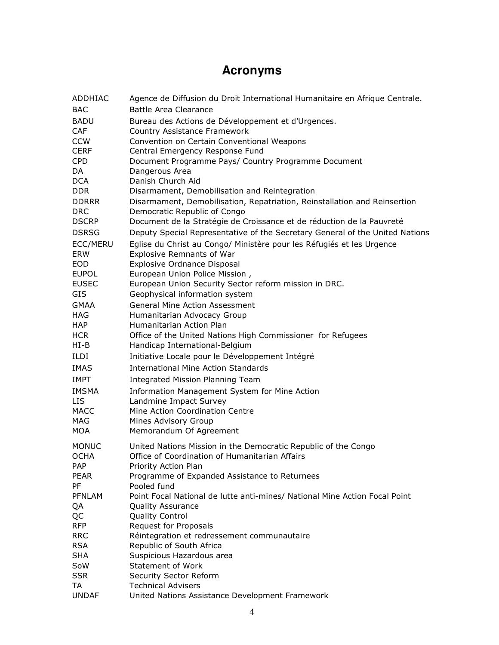# **Acronyms**

| <b>ADDHIAC</b>               | Agence de Diffusion du Droit International Humanitaire en Afrique Centrale.             |
|------------------------------|-----------------------------------------------------------------------------------------|
| <b>BAC</b>                   | Battle Area Clearance                                                                   |
| <b>BADU</b>                  | Bureau des Actions de Développement et d'Urgences.                                      |
| <b>CAF</b>                   | Country Assistance Framework                                                            |
| <b>CCW</b>                   | Convention on Certain Conventional Weapons                                              |
| <b>CERF</b>                  | Central Emergency Response Fund                                                         |
| <b>CPD</b>                   | Document Programme Pays/ Country Programme Document                                     |
| DA.                          | Dangerous Area                                                                          |
| DCA                          | Danish Church Aid                                                                       |
| DDR.                         | Disarmament, Demobilisation and Reintegration                                           |
| <b>DDRRR</b>                 | Disarmament, Demobilisation, Repatriation, Reinstallation and Reinsertion               |
| <b>DRC</b>                   | Democratic Republic of Congo                                                            |
| <b>DSCRP</b>                 | Document de la Stratégie de Croissance et de réduction de la Pauvreté                   |
| <b>DSRSG</b>                 | Deputy Special Representative of the Secretary General of the United Nations            |
| ECC/MERU                     | Eglise du Christ au Congo/ Ministère pour les Réfugiés et les Urgence                   |
| <b>ERW</b>                   | <b>Explosive Remnants of War</b>                                                        |
| EOD                          | <b>Explosive Ordnance Disposal</b>                                                      |
| <b>EUPOL</b><br><b>EUSEC</b> | European Union Police Mission,                                                          |
| <b>GIS</b>                   | European Union Security Sector reform mission in DRC.<br>Geophysical information system |
|                              | <b>General Mine Action Assessment</b>                                                   |
| <b>GMAA</b><br><b>HAG</b>    | Humanitarian Advocacy Group                                                             |
| HAP                          | Humanitarian Action Plan                                                                |
| <b>HCR</b>                   | Office of the United Nations High Commissioner for Refugees                             |
| HI-B                         | Handicap International-Belgium                                                          |
| ILDI                         | Initiative Locale pour le Développement Intégré                                         |
| <b>IMAS</b>                  | <b>International Mine Action Standards</b>                                              |
| <b>IMPT</b>                  |                                                                                         |
|                              | Integrated Mission Planning Team                                                        |
| <b>IMSMA</b><br><b>LIS</b>   | Information Management System for Mine Action<br>Landmine Impact Survey                 |
| MACC                         | Mine Action Coordination Centre                                                         |
| MAG                          | Mines Advisory Group                                                                    |
| MOA                          | Memorandum Of Agreement                                                                 |
|                              |                                                                                         |
| <b>MONUC</b>                 | United Nations Mission in the Democratic Republic of the Congo                          |
| <b>OCHA</b>                  | Office of Coordination of Humanitarian Affairs                                          |
| <b>PAP</b><br><b>PEAR</b>    | Priority Action Plan                                                                    |
| <b>PF</b>                    | Programme of Expanded Assistance to Returnees<br>Pooled fund                            |
| <b>PFNLAM</b>                | Point Focal National de lutte anti-mines/ National Mine Action Focal Point              |
| QA                           | <b>Quality Assurance</b>                                                                |
| QC                           | Quality Control                                                                         |
| <b>RFP</b>                   | <b>Request for Proposals</b>                                                            |
| <b>RRC</b>                   | Réintegration et redressement communautaire                                             |
| <b>RSA</b>                   | Republic of South Africa                                                                |
| <b>SHA</b>                   | Suspicious Hazardous area                                                               |
| SoW                          | Statement of Work                                                                       |
| <b>SSR</b>                   | Security Sector Reform                                                                  |
| TA                           | <b>Technical Advisers</b>                                                               |
| <b>UNDAF</b>                 | United Nations Assistance Development Framework                                         |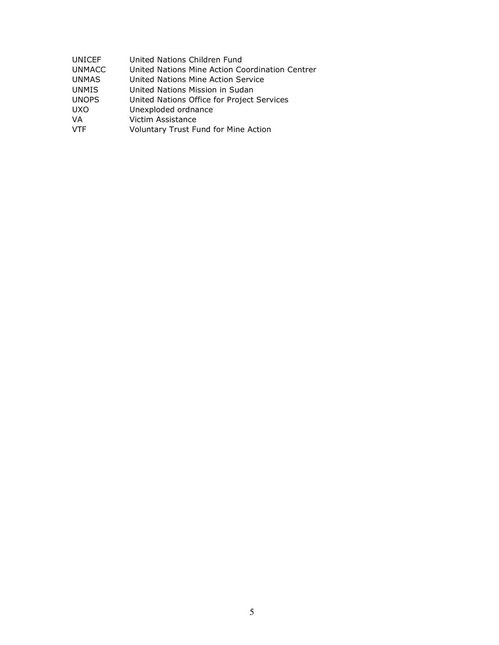| UNICEF        | United Nations Children Fund                    |
|---------------|-------------------------------------------------|
| <b>UNMACC</b> | United Nations Mine Action Coordination Centrer |
| UNMAS.        | United Nations Mine Action Service              |
| <b>UNMIS</b>  | United Nations Mission in Sudan                 |
| <b>UNOPS</b>  | United Nations Office for Project Services      |
| UXO.          | Unexploded ordnance                             |
| VA            | Victim Assistance                               |
| VTF           | Voluntary Trust Fund for Mine Action            |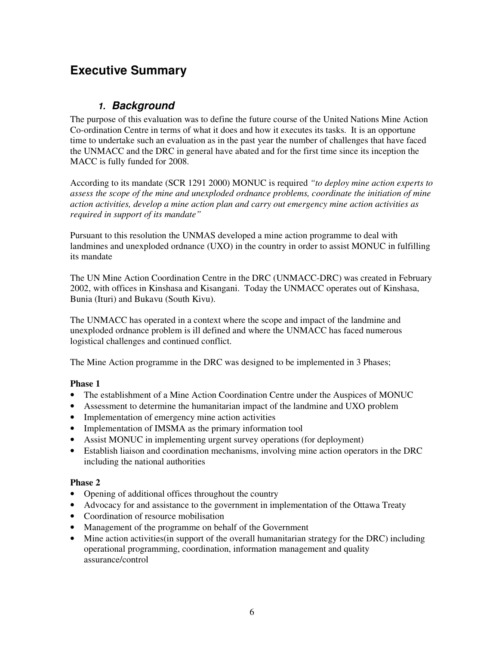# **Executive Summary**

### **1. Background**

The purpose of this evaluation was to define the future course of the United Nations Mine Action Co-ordination Centre in terms of what it does and how it executes its tasks. It is an opportune time to undertake such an evaluation as in the past year the number of challenges that have faced the UNMACC and the DRC in general have abated and for the first time since its inception the MACC is fully funded for 2008.

According to its mandate (SCR 1291 2000) MONUC is required *"to deploy mine action experts to assess the scope of the mine and unexploded ordnance problems, coordinate the initiation of mine action activities, develop a mine action plan and carry out emergency mine action activities as required in support of its mandate"* 

Pursuant to this resolution the UNMAS developed a mine action programme to deal with landmines and unexploded ordnance (UXO) in the country in order to assist MONUC in fulfilling its mandate

The UN Mine Action Coordination Centre in the DRC (UNMACC-DRC) was created in February 2002, with offices in Kinshasa and Kisangani. Today the UNMACC operates out of Kinshasa, Bunia (Ituri) and Bukavu (South Kivu).

The UNMACC has operated in a context where the scope and impact of the landmine and unexploded ordnance problem is ill defined and where the UNMACC has faced numerous logistical challenges and continued conflict.

The Mine Action programme in the DRC was designed to be implemented in 3 Phases;

### **Phase 1**

- The establishment of a Mine Action Coordination Centre under the Auspices of MONUC
- Assessment to determine the humanitarian impact of the landmine and UXO problem
- Implementation of emergency mine action activities
- Implementation of IMSMA as the primary information tool
- Assist MONUC in implementing urgent survey operations (for deployment)
- Establish liaison and coordination mechanisms, involving mine action operators in the DRC including the national authorities

### **Phase 2**

- Opening of additional offices throughout the country
- Advocacy for and assistance to the government in implementation of the Ottawa Treaty
- Coordination of resource mobilisation
- Management of the programme on behalf of the Government
- Mine action activities(in support of the overall humanitarian strategy for the DRC) including operational programming, coordination, information management and quality assurance/control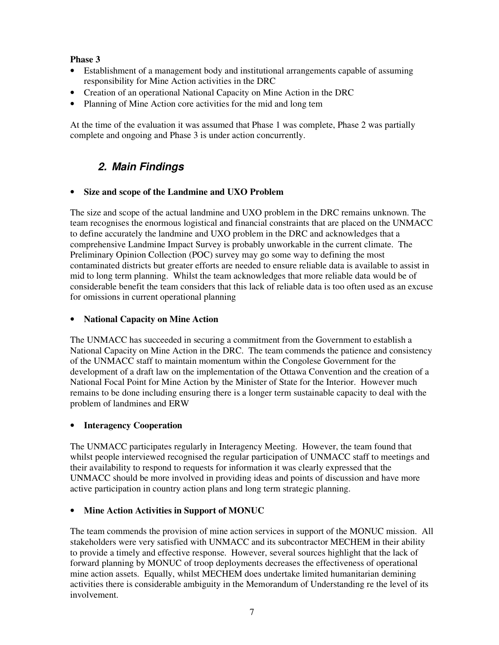### **Phase 3**

- Establishment of a management body and institutional arrangements capable of assuming responsibility for Mine Action activities in the DRC
- Creation of an operational National Capacity on Mine Action in the DRC
- Planning of Mine Action core activities for the mid and long tem

At the time of the evaluation it was assumed that Phase 1 was complete, Phase 2 was partially complete and ongoing and Phase 3 is under action concurrently.

# **2. Main Findings**

### • **Size and scope of the Landmine and UXO Problem**

The size and scope of the actual landmine and UXO problem in the DRC remains unknown. The team recognises the enormous logistical and financial constraints that are placed on the UNMACC to define accurately the landmine and UXO problem in the DRC and acknowledges that a comprehensive Landmine Impact Survey is probably unworkable in the current climate. The Preliminary Opinion Collection (POC) survey may go some way to defining the most contaminated districts but greater efforts are needed to ensure reliable data is available to assist in mid to long term planning. Whilst the team acknowledges that more reliable data would be of considerable benefit the team considers that this lack of reliable data is too often used as an excuse for omissions in current operational planning

#### • **National Capacity on Mine Action**

The UNMACC has succeeded in securing a commitment from the Government to establish a National Capacity on Mine Action in the DRC. The team commends the patience and consistency of the UNMACC staff to maintain momentum within the Congolese Government for the development of a draft law on the implementation of the Ottawa Convention and the creation of a National Focal Point for Mine Action by the Minister of State for the Interior. However much remains to be done including ensuring there is a longer term sustainable capacity to deal with the problem of landmines and ERW

### **Interagency Cooperation**

The UNMACC participates regularly in Interagency Meeting. However, the team found that whilst people interviewed recognised the regular participation of UNMACC staff to meetings and their availability to respond to requests for information it was clearly expressed that the UNMACC should be more involved in providing ideas and points of discussion and have more active participation in country action plans and long term strategic planning.

### • **Mine Action Activities in Support of MONUC**

The team commends the provision of mine action services in support of the MONUC mission. All stakeholders were very satisfied with UNMACC and its subcontractor MECHEM in their ability to provide a timely and effective response. However, several sources highlight that the lack of forward planning by MONUC of troop deployments decreases the effectiveness of operational mine action assets. Equally, whilst MECHEM does undertake limited humanitarian demining activities there is considerable ambiguity in the Memorandum of Understanding re the level of its involvement.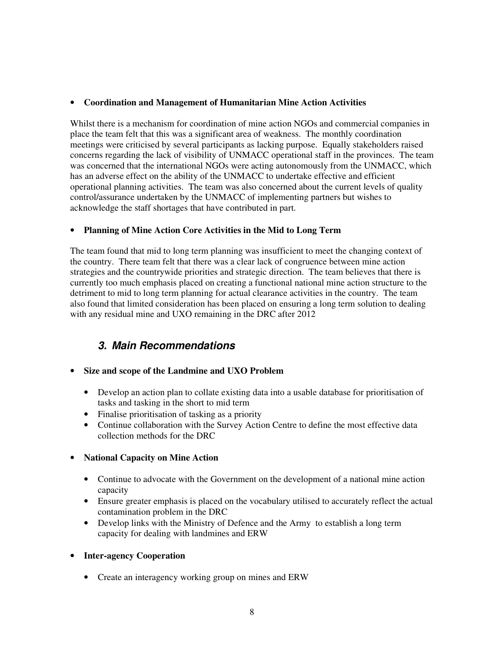#### • **Coordination and Management of Humanitarian Mine Action Activities**

Whilst there is a mechanism for coordination of mine action NGOs and commercial companies in place the team felt that this was a significant area of weakness. The monthly coordination meetings were criticised by several participants as lacking purpose. Equally stakeholders raised concerns regarding the lack of visibility of UNMACC operational staff in the provinces. The team was concerned that the international NGOs were acting autonomously from the UNMACC, which has an adverse effect on the ability of the UNMACC to undertake effective and efficient operational planning activities. The team was also concerned about the current levels of quality control/assurance undertaken by the UNMACC of implementing partners but wishes to acknowledge the staff shortages that have contributed in part.

### • **Planning of Mine Action Core Activities in the Mid to Long Term**

The team found that mid to long term planning was insufficient to meet the changing context of the country. There team felt that there was a clear lack of congruence between mine action strategies and the countrywide priorities and strategic direction. The team believes that there is currently too much emphasis placed on creating a functional national mine action structure to the detriment to mid to long term planning for actual clearance activities in the country. The team also found that limited consideration has been placed on ensuring a long term solution to dealing with any residual mine and UXO remaining in the DRC after 2012

### **3. Main Recommendations**

### • **Size and scope of the Landmine and UXO Problem**

- Develop an action plan to collate existing data into a usable database for prioritisation of tasks and tasking in the short to mid term
- Finalise prioritisation of tasking as a priority
- Continue collaboration with the Survey Action Centre to define the most effective data collection methods for the DRC

### • **National Capacity on Mine Action**

- Continue to advocate with the Government on the development of a national mine action capacity
- Ensure greater emphasis is placed on the vocabulary utilised to accurately reflect the actual contamination problem in the DRC
- Develop links with the Ministry of Defence and the Army to establish a long term capacity for dealing with landmines and ERW

### • **Inter-agency Cooperation**

• Create an interagency working group on mines and ERW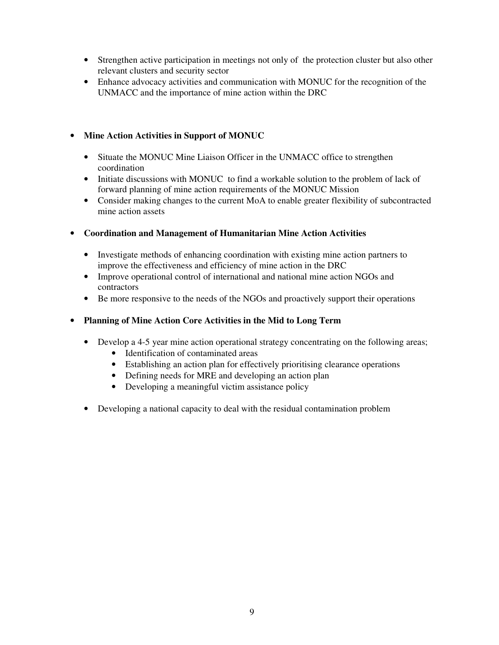- Strengthen active participation in meetings not only of the protection cluster but also other relevant clusters and security sector
- Enhance advocacy activities and communication with MONUC for the recognition of the UNMACC and the importance of mine action within the DRC

### • **Mine Action Activities in Support of MONUC**

- Situate the MONUC Mine Liaison Officer in the UNMACC office to strengthen coordination
- Initiate discussions with MONUC to find a workable solution to the problem of lack of forward planning of mine action requirements of the MONUC Mission
- Consider making changes to the current MoA to enable greater flexibility of subcontracted mine action assets
- **Coordination and Management of Humanitarian Mine Action Activities** 
	- Investigate methods of enhancing coordination with existing mine action partners to improve the effectiveness and efficiency of mine action in the DRC
	- Improve operational control of international and national mine action NGOs and contractors
	- Be more responsive to the needs of the NGOs and proactively support their operations
- **Planning of Mine Action Core Activities in the Mid to Long Term** 
	- Develop a 4-5 year mine action operational strategy concentrating on the following areas;
		- Identification of contaminated areas
		- Establishing an action plan for effectively prioritising clearance operations
		- Defining needs for MRE and developing an action plan
		- Developing a meaningful victim assistance policy
	- Developing a national capacity to deal with the residual contamination problem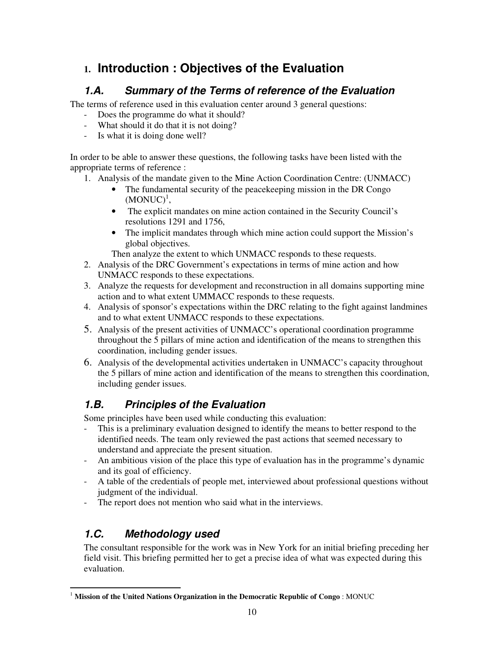# **1. Introduction : Objectives of the Evaluation**

# **1.A. Summary of the Terms of reference of the Evaluation**

The terms of reference used in this evaluation center around 3 general questions:

- Does the programme do what it should?
- What should it do that it is not doing?
- Is what it is doing done well?

In order to be able to answer these questions, the following tasks have been listed with the appropriate terms of reference :

- 1. Analysis of the mandate given to the Mine Action Coordination Centre: (UNMACC)
	- The fundamental security of the peace keeping mission in the DR Congo  $(MONUC)^1$ ,
	- The explicit mandates on mine action contained in the Security Council's resolutions 1291 and 1756,
	- The implicit mandates through which mine action could support the Mission's global objectives.

Then analyze the extent to which UNMACC responds to these requests.

- 2. Analysis of the DRC Government's expectations in terms of mine action and how UNMACC responds to these expectations.
- 3. Analyze the requests for development and reconstruction in all domains supporting mine action and to what extent UMMACC responds to these requests.
- 4. Analysis of sponsor's expectations within the DRC relating to the fight against landmines and to what extent UNMACC responds to these expectations.
- 5. Analysis of the present activities of UNMACC's operational coordination programme throughout the 5 pillars of mine action and identification of the means to strengthen this coordination, including gender issues.
- 6. Analysis of the developmental activities undertaken in UNMACC's capacity throughout the 5 pillars of mine action and identification of the means to strengthen this coordination, including gender issues.

# **1.B. Principles of the Evaluation**

Some principles have been used while conducting this evaluation:

- This is a preliminary evaluation designed to identify the means to better respond to the identified needs. The team only reviewed the past actions that seemed necessary to understand and appreciate the present situation.
- An ambitious vision of the place this type of evaluation has in the programme's dynamic and its goal of efficiency.
- A table of the credentials of people met, interviewed about professional questions without judgment of the individual.
- The report does not mention who said what in the interviews.

# **1.C. Methodology used**

The consultant responsible for the work was in New York for an initial briefing preceding her field visit. This briefing permitted her to get a precise idea of what was expected during this evaluation.

<sup>-</sup><sup>1</sup> **Mission of the United Nations Organization in the Democratic Republic of Congo** : MONUC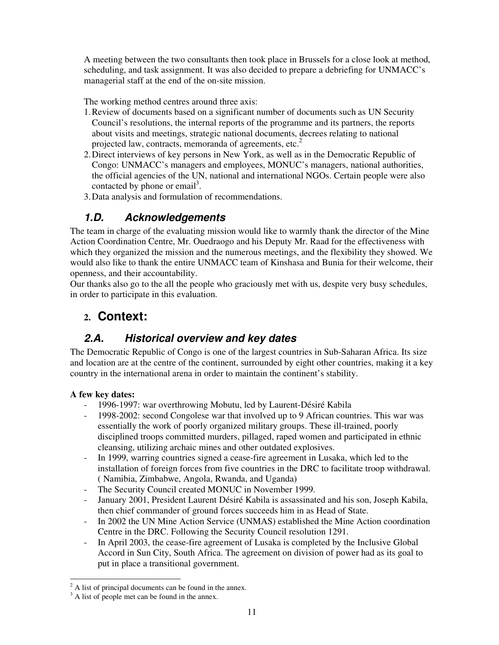A meeting between the two consultants then took place in Brussels for a close look at method, scheduling, and task assignment. It was also decided to prepare a debriefing for UNMACC's managerial staff at the end of the on-site mission.

The working method centres around three axis:

- 1.Review of documents based on a significant number of documents such as UN Security Council's resolutions, the internal reports of the programme and its partners, the reports about visits and meetings, strategic national documents, decrees relating to national projected law, contracts, memoranda of agreements, etc.<sup>2</sup>
- 2.Direct interviews of key persons in New York, as well as in the Democratic Republic of Congo: UNMACC's managers and employees, MONUC's managers, national authorities, the official agencies of the UN, national and international NGOs. Certain people were also contacted by phone or email<sup>3</sup>.
- 3.Data analysis and formulation of recommendations.

### **1.D. Acknowledgements**

The team in charge of the evaluating mission would like to warmly thank the director of the Mine Action Coordination Centre, Mr. Ouedraogo and his Deputy Mr. Raad for the effectiveness with which they organized the mission and the numerous meetings, and the flexibility they showed. We would also like to thank the entire UNMACC team of Kinshasa and Bunia for their welcome, their openness, and their accountability.

Our thanks also go to the all the people who graciously met with us, despite very busy schedules, in order to participate in this evaluation.

# **2. Context:**

### **2.A. Historical overview and key dates**

The Democratic Republic of Congo is one of the largest countries in Sub-Saharan Africa. Its size and location are at the centre of the continent, surrounded by eight other countries, making it a key country in the international arena in order to maintain the continent's stability.

### **A few key dates:**

- 1996-1997: war overthrowing Mobutu, led by Laurent-Désiré Kabila
- 1998-2002: second Congolese war that involved up to 9 African countries. This war was essentially the work of poorly organized military groups. These ill-trained, poorly disciplined troops committed murders, pillaged, raped women and participated in ethnic cleansing, utilizing archaic mines and other outdated explosives.
- In 1999, warring countries signed a cease-fire agreement in Lusaka, which led to the installation of foreign forces from five countries in the DRC to facilitate troop withdrawal. ( Namibia, Zimbabwe, Angola, Rwanda, and Uganda)
- The Security Council created MONUC in November 1999.
- January 2001, President Laurent Désiré Kabila is assassinated and his son, Joseph Kabila, then chief commander of ground forces succeeds him in as Head of State.
- In 2002 the UN Mine Action Service (UNMAS) established the Mine Action coordination Centre in the DRC. Following the Security Council resolution 1291.
- In April 2003, the cease-fire agreement of Lusaka is completed by the Inclusive Global Accord in Sun City, South Africa. The agreement on division of power had as its goal to put in place a transitional government.

<sup>&</sup>lt;sup>2</sup> A list of principal documents can be found in the annex.

<sup>&</sup>lt;sup>3</sup> A list of people met can be found in the annex.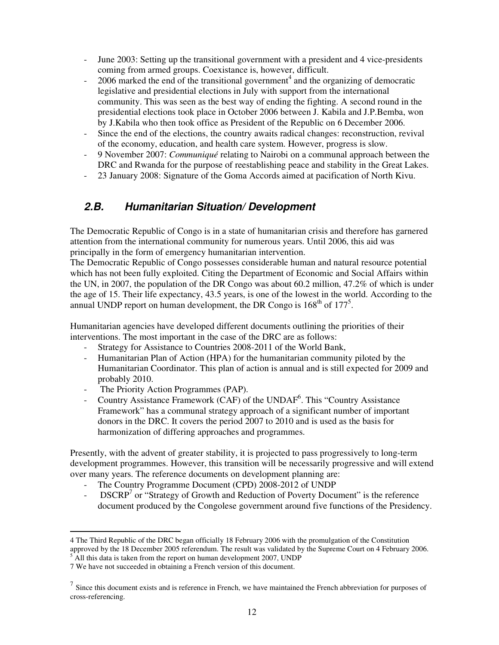- June 2003: Setting up the transitional government with a president and 4 vice-presidents coming from armed groups. Coexistance is, however, difficult.
- $-$  2006 marked the end of the transitional government<sup>4</sup> and the organizing of democratic legislative and presidential elections in July with support from the international community. This was seen as the best way of ending the fighting. A second round in the presidential elections took place in October 2006 between J. Kabila and J.P.Bemba, won by J.Kabila who then took office as President of the Republic on 6 December 2006.
- Since the end of the elections, the country awaits radical changes: reconstruction, revival of the economy, education, and health care system. However, progress is slow.
- 9 November 2007: *Communiqué* relating to Nairobi on a communal approach between the DRC and Rwanda for the purpose of reestablishing peace and stability in the Great Lakes.
- 23 January 2008: Signature of the Goma Accords aimed at pacification of North Kivu.

### **2.B. Humanitarian Situation/ Development**

The Democratic Republic of Congo is in a state of humanitarian crisis and therefore has garnered attention from the international community for numerous years. Until 2006, this aid was principally in the form of emergency humanitarian intervention.

The Democratic Republic of Congo possesses considerable human and natural resource potential which has not been fully exploited. Citing the Department of Economic and Social Affairs within the UN, in 2007, the population of the DR Congo was about 60.2 million, 47.2% of which is under the age of 15. Their life expectancy, 43.5 years, is one of the lowest in the world. According to the annual UNDP report on human development, the DR Congo is  $168<sup>th</sup>$  of  $177<sup>5</sup>$ .

Humanitarian agencies have developed different documents outlining the priorities of their interventions. The most important in the case of the DRC are as follows:

- 
- Strategy for Assistance to Countries 2008-2011 of the World Bank,<br>- Humanitarian Plan of Action (HPA) for the humanitarian communit - Humanitarian Plan of Action (HPA) for the humanitarian community piloted by the Humanitarian Coordinator. This plan of action is annual and is still expected for 2009 and probably 2010.
- The Priority Action Programmes (PAP).
- Country Assistance Framework (CAF) of the UNDAF<sup>6</sup>. This "Country Assistance Framework" has a communal strategy approach of a significant number of important donors in the DRC. It covers the period 2007 to 2010 and is used as the basis for harmonization of differing approaches and programmes.

Presently, with the advent of greater stability, it is projected to pass progressively to long-term development programmes. However, this transition will be necessarily progressive and will extend over many years. The reference documents on development planning are:

- The Country Programme Document (CPD) 2008-2012 of UNDP
- $DSCRP<sup>7</sup>$  or "Strategy of Growth and Reduction of Poverty Document" is the reference document produced by the Congolese government around five functions of the Presidency.

-

<sup>4</sup> The Third Republic of the DRC began officially 18 February 2006 with the promulgation of the Constitution approved by the 18 December 2005 referendum. The result was validated by the Supreme Court on 4 February 2006.  $<sup>5</sup>$  All this data is taken from the report on human development 2007, UNDP</sup>

<sup>7</sup> We have not succeeded in obtaining a French version of this document.

<sup>7</sup> Since this document exists and is reference in French, we have maintained the French abbreviation for purposes of cross-referencing.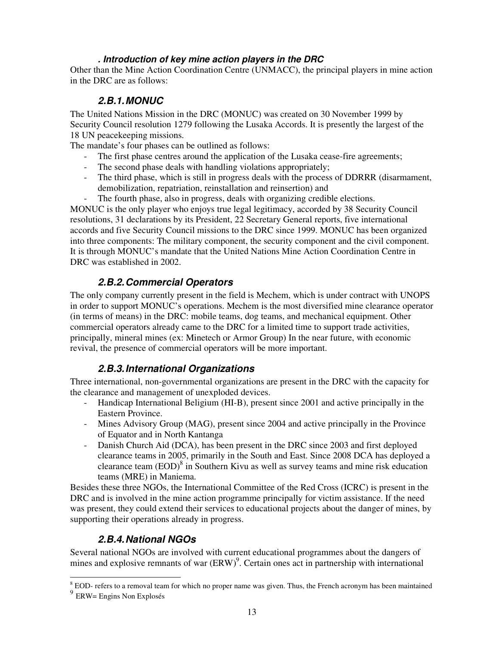### **. Introduction of key mine action players in the DRC**

Other than the Mine Action Coordination Centre (UNMACC), the principal players in mine action in the DRC are as follows:

### **2.B.1. MONUC**

The United Nations Mission in the DRC (MONUC) was created on 30 November 1999 by Security Council resolution 1279 following the Lusaka Accords. It is presently the largest of the 18 UN peacekeeping missions.

The mandate's four phases can be outlined as follows:

- The first phase centres around the application of the Lusaka cease-fire agreements;
- The second phase deals with handling violations appropriately;
- The third phase, which is still in progress deals with the process of DDRRR (disarmament, demobilization, repatriation, reinstallation and reinsertion) and
- The fourth phase, also in progress, deals with organizing credible elections.

MONUC is the only player who enjoys true legal legitimacy, accorded by 38 Security Council resolutions, 31 declarations by its President, 22 Secretary General reports, five international accords and five Security Council missions to the DRC since 1999. MONUC has been organized into three components: The military component, the security component and the civil component. It is through MONUC's mandate that the United Nations Mine Action Coordination Centre in DRC was established in 2002.

### **2.B.2. Commercial Operators**

The only company currently present in the field is Mechem, which is under contract with UNOPS in order to support MONUC's operations. Mechem is the most diversified mine clearance operator (in terms of means) in the DRC: mobile teams, dog teams, and mechanical equipment. Other commercial operators already came to the DRC for a limited time to support trade activities, principally, mineral mines (ex: Minetech or Armor Group) In the near future, with economic revival, the presence of commercial operators will be more important.

### **2.B.3. International Organizations**

Three international, non-governmental organizations are present in the DRC with the capacity for the clearance and management of unexploded devices.

- Handicap International Beligium (HI-B), present since 2001 and active principally in the Eastern Province.
- Mines Advisory Group (MAG), present since 2004 and active principally in the Province of Equator and in North Kantanga
- Danish Church Aid (DCA), has been present in the DRC since 2003 and first deployed clearance teams in 2005, primarily in the South and East. Since 2008 DCA has deployed a clearance team  $(EOD)^8$  in Southern Kivu as well as survey teams and mine risk education teams (MRE) in Maniema.

Besides these three NGOs, the International Committee of the Red Cross (ICRC) is present in the DRC and is involved in the mine action programme principally for victim assistance. If the need was present, they could extend their services to educational projects about the danger of mines, by supporting their operations already in progress.

### **2.B.4. National NGOs**

Several national NGOs are involved with current educational programmes about the dangers of mines and explosive remnants of war  $(ERW)^9$ . Certain ones act in partnership with international

<sup>&</sup>lt;sup>8</sup> EOD- refers to a removal team for which no proper name was given. Thus, the French acronym has been maintained <sup>9</sup> ERW= Engins Non Explosés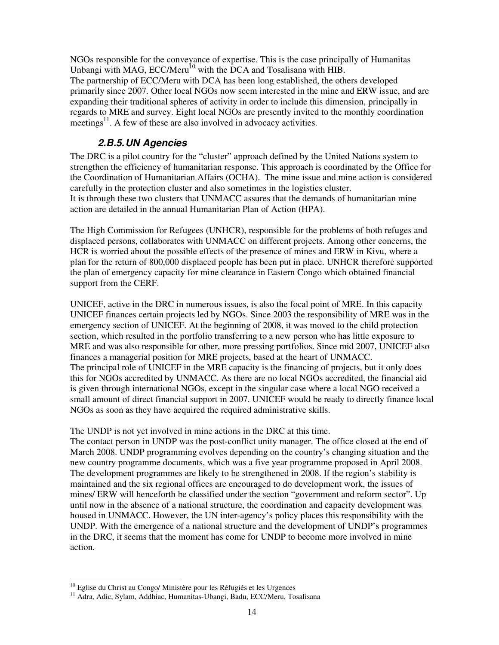NGOs responsible for the conveyance of expertise. This is the case principally of Humanitas Unbangi with MAG, ECC/Meru<sup>10</sup> with the DCA and Tosalisana with HIB. The partnership of ECC/Meru with DCA has been long established, the others developed primarily since 2007. Other local NGOs now seem interested in the mine and ERW issue, and are expanding their traditional spheres of activity in order to include this dimension, principally in regards to MRE and survey. Eight local NGOs are presently invited to the monthly coordination meetings<sup>11</sup>. A few of these are also involved in advocacy activities.

### **2.B.5. UN Agencies**

The DRC is a pilot country for the "cluster" approach defined by the United Nations system to strengthen the efficiency of humanitarian response. This approach is coordinated by the Office for the Coordination of Humanitarian Affairs (OCHA). The mine issue and mine action is considered carefully in the protection cluster and also sometimes in the logistics cluster. It is through these two clusters that UNMACC assures that the demands of humanitarian mine action are detailed in the annual Humanitarian Plan of Action (HPA).

The High Commission for Refugees (UNHCR), responsible for the problems of both refuges and displaced persons, collaborates with UNMACC on different projects. Among other concerns, the HCR is worried about the possible effects of the presence of mines and ERW in Kivu, where a plan for the return of 800,000 displaced people has been put in place. UNHCR therefore supported the plan of emergency capacity for mine clearance in Eastern Congo which obtained financial support from the CERF.

UNICEF, active in the DRC in numerous issues, is also the focal point of MRE. In this capacity UNICEF finances certain projects led by NGOs. Since 2003 the responsibility of MRE was in the emergency section of UNICEF. At the beginning of 2008, it was moved to the child protection section, which resulted in the portfolio transferring to a new person who has little exposure to MRE and was also responsible for other, more pressing portfolios. Since mid 2007, UNICEF also finances a managerial position for MRE projects, based at the heart of UNMACC. The principal role of UNICEF in the MRE capacity is the financing of projects, but it only does this for NGOs accredited by UNMACC. As there are no local NGOs accredited, the financial aid is given through international NGOs, except in the singular case where a local NGO received a small amount of direct financial support in 2007. UNICEF would be ready to directly finance local NGOs as soon as they have acquired the required administrative skills.

The UNDP is not yet involved in mine actions in the DRC at this time.

The contact person in UNDP was the post-conflict unity manager. The office closed at the end of March 2008. UNDP programming evolves depending on the country's changing situation and the new country programme documents, which was a five year programme proposed in April 2008. The development programmes are likely to be strengthened in 2008. If the region's stability is maintained and the six regional offices are encouraged to do development work, the issues of mines/ ERW will henceforth be classified under the section "government and reform sector". Up until now in the absence of a national structure, the coordination and capacity development was housed in UNMACC. However, the UN inter-agency's policy places this responsibility with the UNDP. With the emergence of a national structure and the development of UNDP's programmes in the DRC, it seems that the moment has come for UNDP to become more involved in mine action.

<sup>-</sup><sup>10</sup> Eglise du Christ au Congo/ Ministère pour les Réfugiés et les Urgences

<sup>&</sup>lt;sup>11</sup> Adra, Adic, Sylam, Addhiac, Humanitas-Ubangi, Badu, ECC/Meru, Tosalisana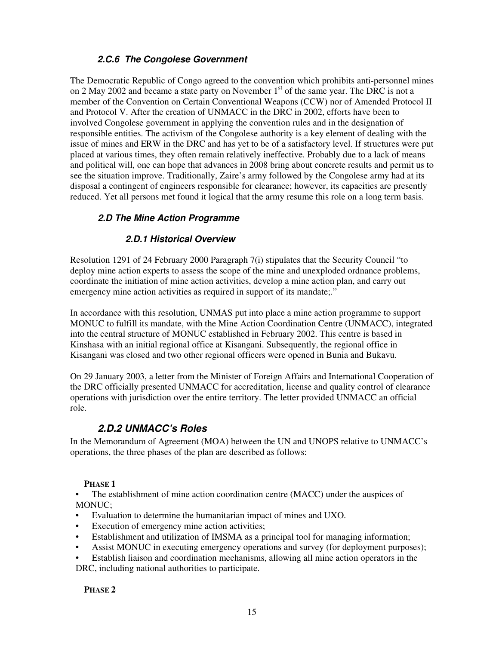### **2.C.6 The Congolese Government**

The Democratic Republic of Congo agreed to the convention which prohibits anti-personnel mines on 2 May 2002 and became a state party on November 1<sup>st</sup> of the same year. The DRC is not a member of the Convention on Certain Conventional Weapons (CCW) nor of Amended Protocol II and Protocol V. After the creation of UNMACC in the DRC in 2002, efforts have been to involved Congolese government in applying the convention rules and in the designation of responsible entities. The activism of the Congolese authority is a key element of dealing with the issue of mines and ERW in the DRC and has yet to be of a satisfactory level. If structures were put placed at various times, they often remain relatively ineffective. Probably due to a lack of means and political will, one can hope that advances in 2008 bring about concrete results and permit us to see the situation improve. Traditionally, Zaire's army followed by the Congolese army had at its disposal a contingent of engineers responsible for clearance; however, its capacities are presently reduced. Yet all persons met found it logical that the army resume this role on a long term basis.

### **2.D The Mine Action Programme**

### **2.D.1 Historical Overview**

Resolution 1291 of 24 February 2000 Paragraph 7(i) stipulates that the Security Council "to deploy mine action experts to assess the scope of the mine and unexploded ordnance problems, coordinate the initiation of mine action activities, develop a mine action plan, and carry out emergency mine action activities as required in support of its mandate;."

In accordance with this resolution, UNMAS put into place a mine action programme to support MONUC to fulfill its mandate, with the Mine Action Coordination Centre (UNMACC), integrated into the central structure of MONUC established in February 2002. This centre is based in Kinshasa with an initial regional office at Kisangani. Subsequently, the regional office in Kisangani was closed and two other regional officers were opened in Bunia and Bukavu.

On 29 January 2003, a letter from the Minister of Foreign Affairs and International Cooperation of the DRC officially presented UNMACC for accreditation, license and quality control of clearance operations with jurisdiction over the entire territory. The letter provided UNMACC an official role.

### **2.D.2 UNMACC's Roles**

In the Memorandum of Agreement (MOA) between the UN and UNOPS relative to UNMACC's operations, the three phases of the plan are described as follows:

### **PHASE 1**

• The establishment of mine action coordination centre (MACC) under the auspices of MONUC;

- Evaluation to determine the humanitarian impact of mines and UXO.
- Execution of emergency mine action activities;
- Establishment and utilization of IMSMA as a principal tool for managing information;
- Assist MONUC in executing emergency operations and survey (for deployment purposes);

• Establish liaison and coordination mechanisms, allowing all mine action operators in the DRC, including national authorities to participate.

#### **PHASE 2**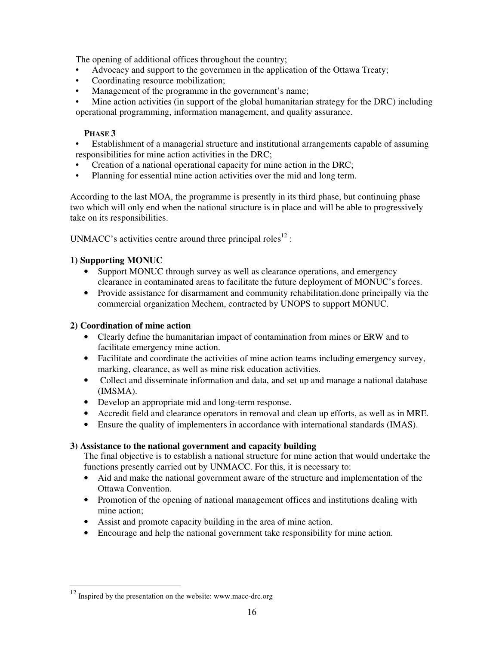The opening of additional offices throughout the country;

- Advocacy and support to the governmen in the application of the Ottawa Treaty;
- Coordinating resource mobilization;
- Management of the programme in the government's name;
- Mine action activities (in support of the global humanitarian strategy for the DRC) including operational programming, information management, and quality assurance.

### **PHASE 3**

- Establishment of a managerial structure and institutional arrangements capable of assuming responsibilities for mine action activities in the DRC;
- Creation of a national operational capacity for mine action in the DRC;
- Planning for essential mine action activities over the mid and long term.

According to the last MOA, the programme is presently in its third phase, but continuing phase two which will only end when the national structure is in place and will be able to progressively take on its responsibilities.

UNMACC's activities centre around three principal roles<sup>12</sup> :

#### **1) Supporting MONUC**

- Support MONUC through survey as well as clearance operations, and emergency clearance in contaminated areas to facilitate the future deployment of MONUC's forces.
- Provide assistance for disarmament and community rehabilitation. done principally via the commercial organization Mechem, contracted by UNOPS to support MONUC.

#### **2) Coordination of mine action**

- Clearly define the humanitarian impact of contamination from mines or ERW and to facilitate emergency mine action.
- Facilitate and coordinate the activities of mine action teams including emergency survey, marking, clearance, as well as mine risk education activities.
- Collect and disseminate information and data, and set up and manage a national database (IMSMA).
- Develop an appropriate mid and long-term response.
- Accredit field and clearance operators in removal and clean up efforts, as well as in MRE.
- Ensure the quality of implementers in accordance with international standards (IMAS).

#### **3) Assistance to the national government and capacity building**

The final objective is to establish a national structure for mine action that would undertake the functions presently carried out by UNMACC. For this, it is necessary to:

- Aid and make the national government aware of the structure and implementation of the Ottawa Convention.
- Promotion of the opening of national management offices and institutions dealing with mine action;
- Assist and promote capacity building in the area of mine action.
- Encourage and help the national government take responsibility for mine action.

-

Inspired by the presentation on the website: www.macc-drc.org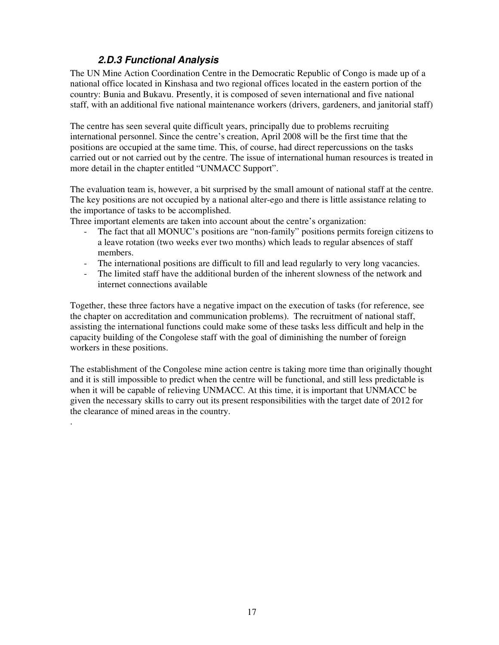### **2.D.3 Functional Analysis**

.

The UN Mine Action Coordination Centre in the Democratic Republic of Congo is made up of a national office located in Kinshasa and two regional offices located in the eastern portion of the country: Bunia and Bukavu. Presently, it is composed of seven international and five national staff, with an additional five national maintenance workers (drivers, gardeners, and janitorial staff)

The centre has seen several quite difficult years, principally due to problems recruiting international personnel. Since the centre's creation, April 2008 will be the first time that the positions are occupied at the same time. This, of course, had direct repercussions on the tasks carried out or not carried out by the centre. The issue of international human resources is treated in more detail in the chapter entitled "UNMACC Support".

The evaluation team is, however, a bit surprised by the small amount of national staff at the centre. The key positions are not occupied by a national alter-ego and there is little assistance relating to the importance of tasks to be accomplished.

Three important elements are taken into account about the centre's organization:

- The fact that all MONUC's positions are "non-family" positions permits foreign citizens to a leave rotation (two weeks ever two months) which leads to regular absences of staff members.
- The international positions are difficult to fill and lead regularly to very long vacancies.
- The limited staff have the additional burden of the inherent slowness of the network and internet connections available

Together, these three factors have a negative impact on the execution of tasks (for reference, see the chapter on accreditation and communication problems). The recruitment of national staff, assisting the international functions could make some of these tasks less difficult and help in the capacity building of the Congolese staff with the goal of diminishing the number of foreign workers in these positions.

The establishment of the Congolese mine action centre is taking more time than originally thought and it is still impossible to predict when the centre will be functional, and still less predictable is when it will be capable of relieving UNMACC. At this time, it is important that UNMACC be given the necessary skills to carry out its present responsibilities with the target date of 2012 for the clearance of mined areas in the country.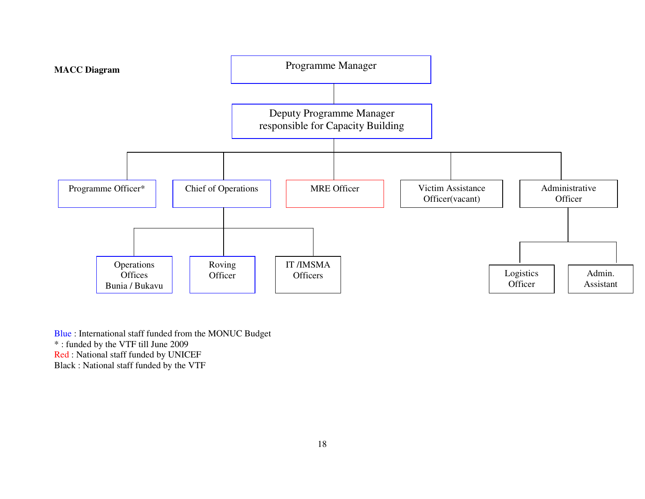

Blue : International staff funded from the MONUC Budget \* : funded by the VTF till June 2009 Red : National staff funded by UNICEF Black : National staff funded by the VTF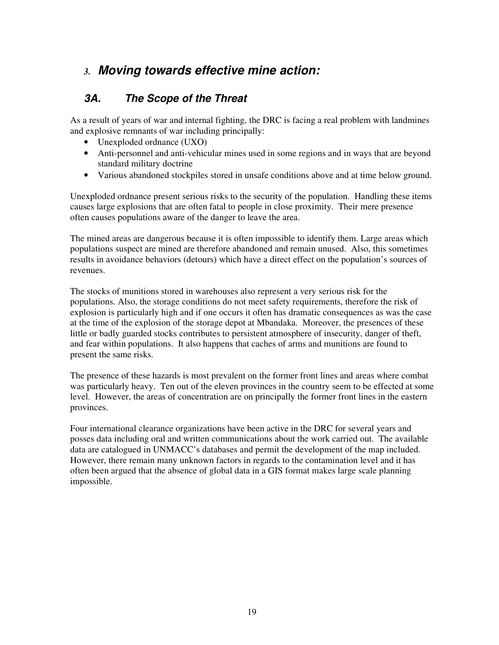# *3.* **Moving towards effective mine action:**

### **3A. The Scope of the Threat**

As a result of years of war and internal fighting, the DRC is facing a real problem with landmines and explosive remnants of war including principally:

- Unexploded ordnance (UXO)
- Anti-personnel and anti-vehicular mines used in some regions and in ways that are beyond standard military doctrine
- Various abandoned stockpiles stored in unsafe conditions above and at time below ground.

Unexploded ordnance present serious risks to the security of the population. Handling these items causes large explosions that are often fatal to people in close proximity. Their mere presence often causes populations aware of the danger to leave the area.

The mined areas are dangerous because it is often impossible to identify them. Large areas which populations suspect are mined are therefore abandoned and remain unused. Also, this sometimes results in avoidance behaviors (detours) which have a direct effect on the population's sources of revenues.

The stocks of munitions stored in warehouses also represent a very serious risk for the populations. Also, the storage conditions do not meet safety requirements, therefore the risk of explosion is particularly high and if one occurs it often has dramatic consequences as was the case at the time of the explosion of the storage depot at Mbandaka. Moreover, the presences of these little or badly guarded stocks contributes to persistent atmosphere of insecurity, danger of theft, and fear within populations. It also happens that caches of arms and munitions are found to present the same risks.

The presence of these hazards is most prevalent on the former front lines and areas where combat was particularly heavy. Ten out of the eleven provinces in the country seem to be effected at some level. However, the areas of concentration are on principally the former front lines in the eastern provinces.

Four international clearance organizations have been active in the DRC for several years and posses data including oral and written communications about the work carried out. The available data are catalogued in UNMACC's databases and permit the development of the map included. However, there remain many unknown factors in regards to the contamination level and it has often been argued that the absence of global data in a GIS format makes large scale planning impossible.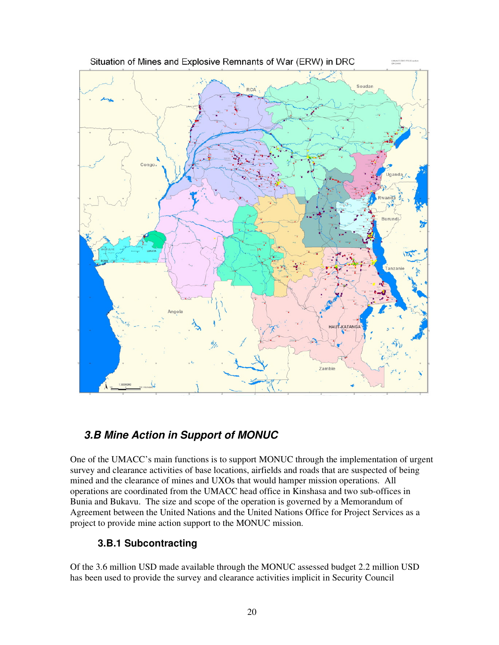

# **3.B Mine Action in Support of MONUC**

One of the UMACC's main functions is to support MONUC through the implementation of urgent survey and clearance activities of base locations, airfields and roads that are suspected of being mined and the clearance of mines and UXOs that would hamper mission operations. All operations are coordinated from the UMACC head office in Kinshasa and two sub-offices in Bunia and Bukavu. The size and scope of the operation is governed by a Memorandum of Agreement between the United Nations and the United Nations Office for Project Services as a project to provide mine action support to the MONUC mission.

### **3.B.1 Subcontracting**

Of the 3.6 million USD made available through the MONUC assessed budget 2.2 million USD has been used to provide the survey and clearance activities implicit in Security Council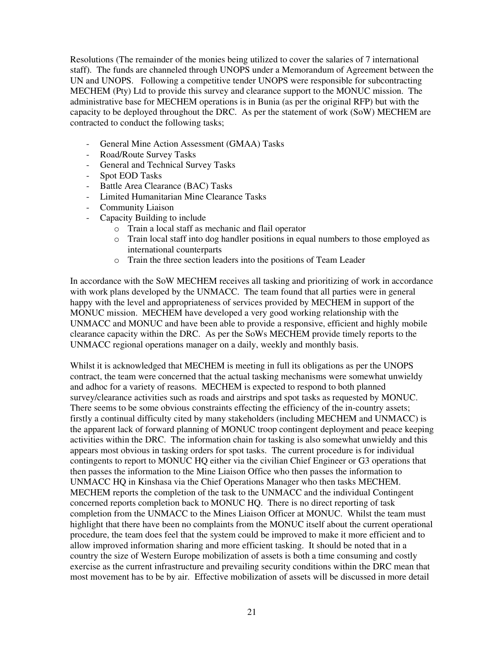Resolutions (The remainder of the monies being utilized to cover the salaries of 7 international staff). The funds are channeled through UNOPS under a Memorandum of Agreement between the UN and UNOPS. Following a competitive tender UNOPS were responsible for subcontracting MECHEM (Pty) Ltd to provide this survey and clearance support to the MONUC mission. The administrative base for MECHEM operations is in Bunia (as per the original RFP) but with the capacity to be deployed throughout the DRC. As per the statement of work (SoW) MECHEM are contracted to conduct the following tasks;

- General Mine Action Assessment (GMAA) Tasks
- Road/Route Survey Tasks
- General and Technical Survey Tasks
- Spot EOD Tasks
- Battle Area Clearance (BAC) Tasks
- Limited Humanitarian Mine Clearance Tasks
- Community Liaison
- Capacity Building to include
	- o Train a local staff as mechanic and flail operator
	- o Train local staff into dog handler positions in equal numbers to those employed as international counterparts
	- o Train the three section leaders into the positions of Team Leader

In accordance with the SoW MECHEM receives all tasking and prioritizing of work in accordance with work plans developed by the UNMACC. The team found that all parties were in general happy with the level and appropriateness of services provided by MECHEM in support of the MONUC mission. MECHEM have developed a very good working relationship with the UNMACC and MONUC and have been able to provide a responsive, efficient and highly mobile clearance capacity within the DRC. As per the SoWs MECHEM provide timely reports to the UNMACC regional operations manager on a daily, weekly and monthly basis.

Whilst it is acknowledged that MECHEM is meeting in full its obligations as per the UNOPS contract, the team were concerned that the actual tasking mechanisms were somewhat unwieldy and adhoc for a variety of reasons. MECHEM is expected to respond to both planned survey/clearance activities such as roads and airstrips and spot tasks as requested by MONUC. There seems to be some obvious constraints effecting the efficiency of the in-country assets; firstly a continual difficulty cited by many stakeholders (including MECHEM and UNMACC) is the apparent lack of forward planning of MONUC troop contingent deployment and peace keeping activities within the DRC. The information chain for tasking is also somewhat unwieldy and this appears most obvious in tasking orders for spot tasks. The current procedure is for individual contingents to report to MONUC HQ either via the civilian Chief Engineer or G3 operations that then passes the information to the Mine Liaison Office who then passes the information to UNMACC HQ in Kinshasa via the Chief Operations Manager who then tasks MECHEM. MECHEM reports the completion of the task to the UNMACC and the individual Contingent concerned reports completion back to MONUC HQ. There is no direct reporting of task completion from the UNMACC to the Mines Liaison Officer at MONUC. Whilst the team must highlight that there have been no complaints from the MONUC itself about the current operational procedure, the team does feel that the system could be improved to make it more efficient and to allow improved information sharing and more efficient tasking. It should be noted that in a country the size of Western Europe mobilization of assets is both a time consuming and costly exercise as the current infrastructure and prevailing security conditions within the DRC mean that most movement has to be by air. Effective mobilization of assets will be discussed in more detail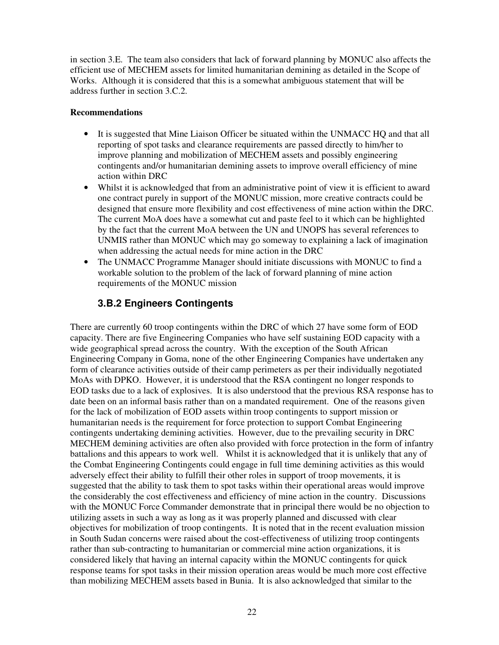in section 3.E. The team also considers that lack of forward planning by MONUC also affects the efficient use of MECHEM assets for limited humanitarian demining as detailed in the Scope of Works. Although it is considered that this is a somewhat ambiguous statement that will be address further in section 3.C.2.

#### **Recommendations**

- It is suggested that Mine Liaison Officer be situated within the UNMACC HQ and that all reporting of spot tasks and clearance requirements are passed directly to him/her to improve planning and mobilization of MECHEM assets and possibly engineering contingents and/or humanitarian demining assets to improve overall efficiency of mine action within DRC
- Whilst it is acknowledged that from an administrative point of view it is efficient to award one contract purely in support of the MONUC mission, more creative contracts could be designed that ensure more flexibility and cost effectiveness of mine action within the DRC. The current MoA does have a somewhat cut and paste feel to it which can be highlighted by the fact that the current MoA between the UN and UNOPS has several references to UNMIS rather than MONUC which may go someway to explaining a lack of imagination when addressing the actual needs for mine action in the DRC
- The UNMACC Programme Manager should initiate discussions with MONUC to find a workable solution to the problem of the lack of forward planning of mine action requirements of the MONUC mission

### **3.B.2 Engineers Contingents**

There are currently 60 troop contingents within the DRC of which 27 have some form of EOD capacity. There are five Engineering Companies who have self sustaining EOD capacity with a wide geographical spread across the country. With the exception of the South African Engineering Company in Goma, none of the other Engineering Companies have undertaken any form of clearance activities outside of their camp perimeters as per their individually negotiated MoAs with DPKO. However, it is understood that the RSA contingent no longer responds to EOD tasks due to a lack of explosives. It is also understood that the previous RSA response has to date been on an informal basis rather than on a mandated requirement. One of the reasons given for the lack of mobilization of EOD assets within troop contingents to support mission or humanitarian needs is the requirement for force protection to support Combat Engineering contingents undertaking demining activities. However, due to the prevailing security in DRC MECHEM demining activities are often also provided with force protection in the form of infantry battalions and this appears to work well. Whilst it is acknowledged that it is unlikely that any of the Combat Engineering Contingents could engage in full time demining activities as this would adversely effect their ability to fulfill their other roles in support of troop movements, it is suggested that the ability to task them to spot tasks within their operational areas would improve the considerably the cost effectiveness and efficiency of mine action in the country. Discussions with the MONUC Force Commander demonstrate that in principal there would be no objection to utilizing assets in such a way as long as it was properly planned and discussed with clear objectives for mobilization of troop contingents. It is noted that in the recent evaluation mission in South Sudan concerns were raised about the cost-effectiveness of utilizing troop contingents rather than sub-contracting to humanitarian or commercial mine action organizations, it is considered likely that having an internal capacity within the MONUC contingents for quick response teams for spot tasks in their mission operation areas would be much more cost effective than mobilizing MECHEM assets based in Bunia. It is also acknowledged that similar to the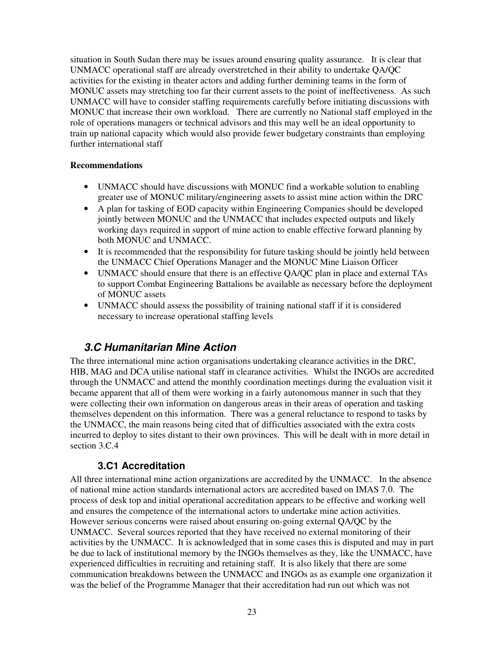situation in South Sudan there may be issues around ensuring quality assurance. It is clear that UNMACC operational staff are already overstretched in their ability to undertake QA/QC activities for the existing in theater actors and adding further demining teams in the form of MONUC assets may stretching too far their current assets to the point of ineffectiveness. As such UNMACC will have to consider staffing requirements carefully before initiating discussions with MONUC that increase their own workload. There are currently no National staff employed in the role of operations managers or technical advisors and this may well be an ideal opportunity to train up national capacity which would also provide fewer budgetary constraints than employing further international staff

### **Recommendations**

- UNMACC should have discussions with MONUC find a workable solution to enabling greater use of MONUC military/engineering assets to assist mine action within the DRC
- A plan for tasking of EOD capacity within Engineering Companies should be developed jointly between MONUC and the UNMACC that includes expected outputs and likely working days required in support of mine action to enable effective forward planning by both MONUC and UNMACC.
- It is recommended that the responsibility for future tasking should be jointly held between the UNMACC Chief Operations Manager and the MONUC Mine Liaison Officer
- UNMACC should ensure that there is an effective QA/QC plan in place and external TAs to support Combat Engineering Battalions be available as necessary before the deployment of MONUC assets
- UNMACC should assess the possibility of training national staff if it is considered necessary to increase operational staffing levels

### **3.C Humanitarian Mine Action**

The three international mine action organisations undertaking clearance activities in the DRC, HIB, MAG and DCA utilise national staff in clearance activities. Whilst the INGOs are accredited through the UNMACC and attend the monthly coordination meetings during the evaluation visit it became apparent that all of them were working in a fairly autonomous manner in such that they were collecting their own information on dangerous areas in their areas of operation and tasking themselves dependent on this information. There was a general reluctance to respond to tasks by the UNMACC, the main reasons being cited that of difficulties associated with the extra costs incurred to deploy to sites distant to their own provinces. This will be dealt with in more detail in section 3.C.4

### **3.C1 Accreditation**

All three international mine action organizations are accredited by the UNMACC. In the absence of national mine action standards international actors are accredited based on IMAS 7.0. The process of desk top and initial operational accreditation appears to be effective and working well and ensures the competence of the international actors to undertake mine action activities. However serious concerns were raised about ensuring on-going external QA/QC by the UNMACC. Several sources reported that they have received no external monitoring of their activities by the UNMACC. It is acknowledged that in some cases this is disputed and may in part be due to lack of institutional memory by the INGOs themselves as they, like the UNMACC, have experienced difficulties in recruiting and retaining staff. It is also likely that there are some communication breakdowns between the UNMACC and INGOs as as example one organization it was the belief of the Programme Manager that their accreditation had run out which was not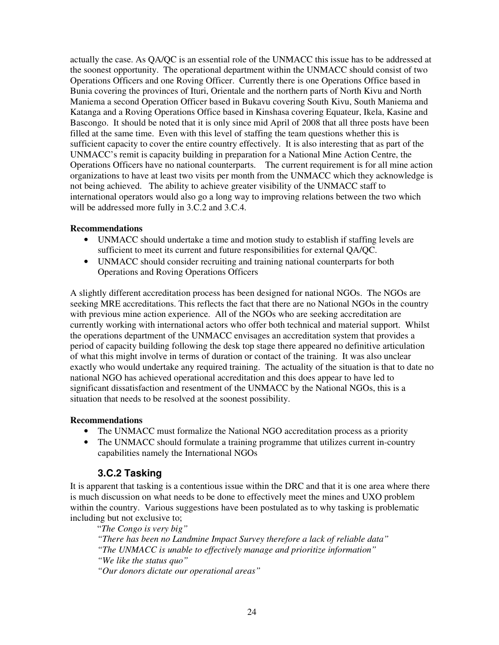actually the case. As QA/QC is an essential role of the UNMACC this issue has to be addressed at the soonest opportunity. The operational department within the UNMACC should consist of two Operations Officers and one Roving Officer. Currently there is one Operations Office based in Bunia covering the provinces of Ituri, Orientale and the northern parts of North Kivu and North Maniema a second Operation Officer based in Bukavu covering South Kivu, South Maniema and Katanga and a Roving Operations Office based in Kinshasa covering Equateur, Ikela, Kasine and Bascongo. It should be noted that it is only since mid April of 2008 that all three posts have been filled at the same time. Even with this level of staffing the team questions whether this is sufficient capacity to cover the entire country effectively. It is also interesting that as part of the UNMACC's remit is capacity building in preparation for a National Mine Action Centre, the Operations Officers have no national counterparts. The current requirement is for all mine action organizations to have at least two visits per month from the UNMACC which they acknowledge is not being achieved. The ability to achieve greater visibility of the UNMACC staff to international operators would also go a long way to improving relations between the two which will be addressed more fully in 3.C.2 and 3.C.4.

#### **Recommendations**

- UNMACC should undertake a time and motion study to establish if staffing levels are sufficient to meet its current and future responsibilities for external QA/QC.
- UNMACC should consider recruiting and training national counterparts for both Operations and Roving Operations Officers

A slightly different accreditation process has been designed for national NGOs. The NGOs are seeking MRE accreditations. This reflects the fact that there are no National NGOs in the country with previous mine action experience. All of the NGOs who are seeking accreditation are currently working with international actors who offer both technical and material support. Whilst the operations department of the UNMACC envisages an accreditation system that provides a period of capacity building following the desk top stage there appeared no definitive articulation of what this might involve in terms of duration or contact of the training. It was also unclear exactly who would undertake any required training. The actuality of the situation is that to date no national NGO has achieved operational accreditation and this does appear to have led to significant dissatisfaction and resentment of the UNMACC by the National NGOs, this is a situation that needs to be resolved at the soonest possibility.

#### **Recommendations**

- The UNMACC must formalize the National NGO accreditation process as a priority
- The UNMACC should formulate a training programme that utilizes current in-country capabilities namely the International NGOs

### **3.C.2 Tasking**

It is apparent that tasking is a contentious issue within the DRC and that it is one area where there is much discussion on what needs to be done to effectively meet the mines and UXO problem within the country. Various suggestions have been postulated as to why tasking is problematic including but not exclusive to;

"*The Congo is very big"* 

 *"There has been no Landmine Impact Survey therefore a lack of reliable data"* 

 *"The UNMACC is unable to effectively manage and prioritize information"* 

 *"We like the status quo"* 

 *"Our donors dictate our operational areas"*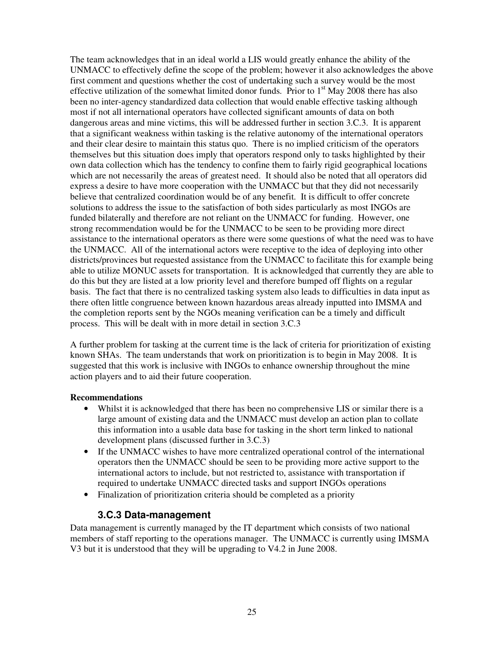The team acknowledges that in an ideal world a LIS would greatly enhance the ability of the UNMACC to effectively define the scope of the problem; however it also acknowledges the above first comment and questions whether the cost of undertaking such a survey would be the most effective utilization of the somewhat limited donor funds. Prior to  $1<sup>st</sup>$  May 2008 there has also been no inter-agency standardized data collection that would enable effective tasking although most if not all international operators have collected significant amounts of data on both dangerous areas and mine victims, this will be addressed further in section 3.C.3. It is apparent that a significant weakness within tasking is the relative autonomy of the international operators and their clear desire to maintain this status quo. There is no implied criticism of the operators themselves but this situation does imply that operators respond only to tasks highlighted by their own data collection which has the tendency to confine them to fairly rigid geographical locations which are not necessarily the areas of greatest need. It should also be noted that all operators did express a desire to have more cooperation with the UNMACC but that they did not necessarily believe that centralized coordination would be of any benefit. It is difficult to offer concrete solutions to address the issue to the satisfaction of both sides particularly as most INGOs are funded bilaterally and therefore are not reliant on the UNMACC for funding. However, one strong recommendation would be for the UNMACC to be seen to be providing more direct assistance to the international operators as there were some questions of what the need was to have the UNMACC. All of the international actors were receptive to the idea of deploying into other districts/provinces but requested assistance from the UNMACC to facilitate this for example being able to utilize MONUC assets for transportation. It is acknowledged that currently they are able to do this but they are listed at a low priority level and therefore bumped off flights on a regular basis. The fact that there is no centralized tasking system also leads to difficulties in data input as there often little congruence between known hazardous areas already inputted into IMSMA and the completion reports sent by the NGOs meaning verification can be a timely and difficult process. This will be dealt with in more detail in section 3.C.3

A further problem for tasking at the current time is the lack of criteria for prioritization of existing known SHAs. The team understands that work on prioritization is to begin in May 2008. It is suggested that this work is inclusive with INGOs to enhance ownership throughout the mine action players and to aid their future cooperation.

#### **Recommendations**

- Whilst it is acknowledged that there has been no comprehensive LIS or similar there is a large amount of existing data and the UNMACC must develop an action plan to collate this information into a usable data base for tasking in the short term linked to national development plans (discussed further in 3.C.3)
- If the UNMACC wishes to have more centralized operational control of the international operators then the UNMACC should be seen to be providing more active support to the international actors to include, but not restricted to, assistance with transportation if required to undertake UNMACC directed tasks and support INGOs operations
- Finalization of prioritization criteria should be completed as a priority

### **3.C.3 Data-management**

Data management is currently managed by the IT department which consists of two national members of staff reporting to the operations manager. The UNMACC is currently using IMSMA V3 but it is understood that they will be upgrading to V4.2 in June 2008.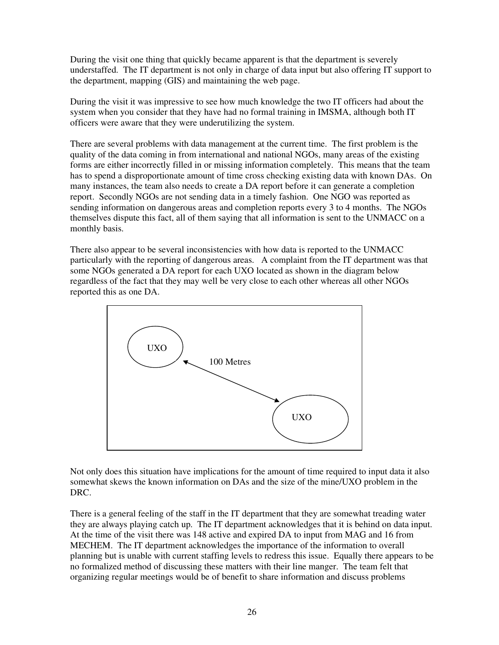During the visit one thing that quickly became apparent is that the department is severely understaffed. The IT department is not only in charge of data input but also offering IT support to the department, mapping (GIS) and maintaining the web page.

During the visit it was impressive to see how much knowledge the two IT officers had about the system when you consider that they have had no formal training in IMSMA, although both IT officers were aware that they were underutilizing the system.

There are several problems with data management at the current time. The first problem is the quality of the data coming in from international and national NGOs, many areas of the existing forms are either incorrectly filled in or missing information completely. This means that the team has to spend a disproportionate amount of time cross checking existing data with known DAs. On many instances, the team also needs to create a DA report before it can generate a completion report. Secondly NGOs are not sending data in a timely fashion. One NGO was reported as sending information on dangerous areas and completion reports every 3 to 4 months. The NGOs themselves dispute this fact, all of them saying that all information is sent to the UNMACC on a monthly basis.

There also appear to be several inconsistencies with how data is reported to the UNMACC particularly with the reporting of dangerous areas. A complaint from the IT department was that some NGOs generated a DA report for each UXO located as shown in the diagram below regardless of the fact that they may well be very close to each other whereas all other NGOs reported this as one DA.



Not only does this situation have implications for the amount of time required to input data it also somewhat skews the known information on DAs and the size of the mine/UXO problem in the DRC.

There is a general feeling of the staff in the IT department that they are somewhat treading water they are always playing catch up. The IT department acknowledges that it is behind on data input. At the time of the visit there was 148 active and expired DA to input from MAG and 16 from MECHEM. The IT department acknowledges the importance of the information to overall planning but is unable with current staffing levels to redress this issue. Equally there appears to be no formalized method of discussing these matters with their line manger. The team felt that organizing regular meetings would be of benefit to share information and discuss problems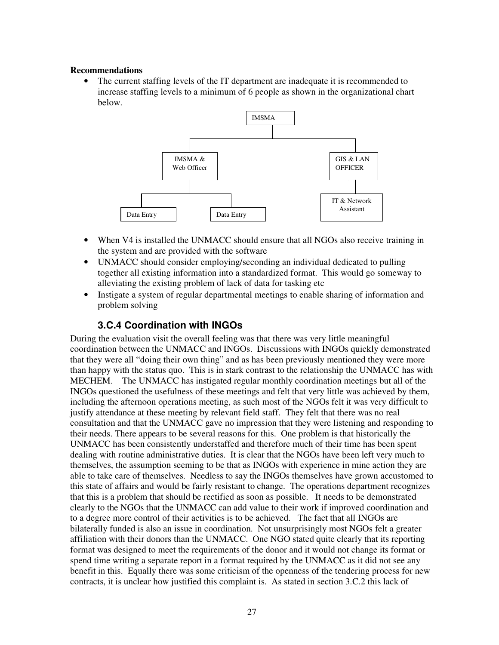#### **Recommendations**

• The current staffing levels of the IT department are inadequate it is recommended to increase staffing levels to a minimum of 6 people as shown in the organizational chart below.



- When V4 is installed the UNMACC should ensure that all NGOs also receive training in the system and are provided with the software
- UNMACC should consider employing/seconding an individual dedicated to pulling together all existing information into a standardized format. This would go someway to alleviating the existing problem of lack of data for tasking etc
- Instigate a system of regular departmental meetings to enable sharing of information and problem solving

### **3.C.4 Coordination with INGOs**

During the evaluation visit the overall feeling was that there was very little meaningful coordination between the UNMACC and INGOs. Discussions with INGOs quickly demonstrated that they were all "doing their own thing" and as has been previously mentioned they were more than happy with the status quo. This is in stark contrast to the relationship the UNMACC has with MECHEM. The UNMACC has instigated regular monthly coordination meetings but all of the INGOs questioned the usefulness of these meetings and felt that very little was achieved by them, including the afternoon operations meeting, as such most of the NGOs felt it was very difficult to justify attendance at these meeting by relevant field staff. They felt that there was no real consultation and that the UNMACC gave no impression that they were listening and responding to their needs. There appears to be several reasons for this. One problem is that historically the UNMACC has been consistently understaffed and therefore much of their time has been spent dealing with routine administrative duties. It is clear that the NGOs have been left very much to themselves, the assumption seeming to be that as INGOs with experience in mine action they are able to take care of themselves. Needless to say the INGOs themselves have grown accustomed to this state of affairs and would be fairly resistant to change. The operations department recognizes that this is a problem that should be rectified as soon as possible. It needs to be demonstrated clearly to the NGOs that the UNMACC can add value to their work if improved coordination and to a degree more control of their activities is to be achieved. The fact that all INGOs are bilaterally funded is also an issue in coordination. Not unsurprisingly most NGOs felt a greater affiliation with their donors than the UNMACC. One NGO stated quite clearly that its reporting format was designed to meet the requirements of the donor and it would not change its format or spend time writing a separate report in a format required by the UNMACC as it did not see any benefit in this. Equally there was some criticism of the openness of the tendering process for new contracts, it is unclear how justified this complaint is. As stated in section 3.C.2 this lack of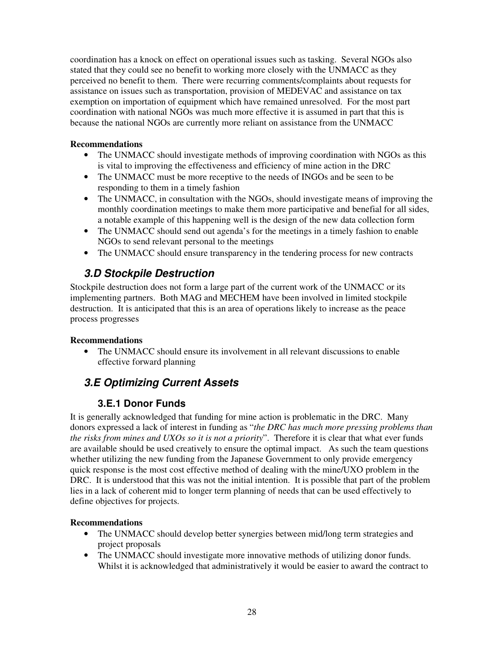coordination has a knock on effect on operational issues such as tasking. Several NGOs also stated that they could see no benefit to working more closely with the UNMACC as they perceived no benefit to them. There were recurring comments/complaints about requests for assistance on issues such as transportation, provision of MEDEVAC and assistance on tax exemption on importation of equipment which have remained unresolved. For the most part coordination with national NGOs was much more effective it is assumed in part that this is because the national NGOs are currently more reliant on assistance from the UNMACC

### **Recommendations**

- The UNMACC should investigate methods of improving coordination with NGOs as this is vital to improving the effectiveness and efficiency of mine action in the DRC
- The UNMACC must be more receptive to the needs of INGOs and be seen to be responding to them in a timely fashion
- The UNMACC, in consultation with the NGOs, should investigate means of improving the monthly coordination meetings to make them more participative and benefial for all sides, a notable example of this happening well is the design of the new data collection form
- The UNMACC should send out agenda's for the meetings in a timely fashion to enable NGOs to send relevant personal to the meetings
- The UNMACC should ensure transparency in the tendering process for new contracts

### **3.D Stockpile Destruction**

Stockpile destruction does not form a large part of the current work of the UNMACC or its implementing partners. Both MAG and MECHEM have been involved in limited stockpile destruction. It is anticipated that this is an area of operations likely to increase as the peace process progresses

### **Recommendations**

• The UNMACC should ensure its involvement in all relevant discussions to enable effective forward planning

# **3.E Optimizing Current Assets**

### **3.E.1 Donor Funds**

It is generally acknowledged that funding for mine action is problematic in the DRC. Many donors expressed a lack of interest in funding as "*the DRC has much more pressing problems than the risks from mines and UXOs so it is not a priority*". Therefore it is clear that what ever funds are available should be used creatively to ensure the optimal impact. As such the team questions whether utilizing the new funding from the Japanese Government to only provide emergency quick response is the most cost effective method of dealing with the mine/UXO problem in the DRC. It is understood that this was not the initial intention. It is possible that part of the problem lies in a lack of coherent mid to longer term planning of needs that can be used effectively to define objectives for projects.

- The UNMACC should develop better synergies between mid/long term strategies and project proposals
- The UNMACC should investigate more innovative methods of utilizing donor funds. Whilst it is acknowledged that administratively it would be easier to award the contract to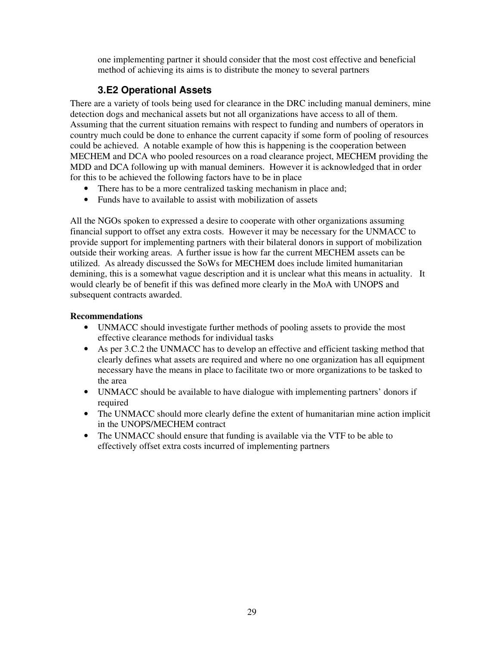one implementing partner it should consider that the most cost effective and beneficial method of achieving its aims is to distribute the money to several partners

### **3.E2 Operational Assets**

There are a variety of tools being used for clearance in the DRC including manual deminers, mine detection dogs and mechanical assets but not all organizations have access to all of them. Assuming that the current situation remains with respect to funding and numbers of operators in country much could be done to enhance the current capacity if some form of pooling of resources could be achieved. A notable example of how this is happening is the cooperation between MECHEM and DCA who pooled resources on a road clearance project, MECHEM providing the MDD and DCA following up with manual deminers. However it is acknowledged that in order for this to be achieved the following factors have to be in place

- There has to be a more centralized tasking mechanism in place and;
- Funds have to available to assist with mobilization of assets

All the NGOs spoken to expressed a desire to cooperate with other organizations assuming financial support to offset any extra costs. However it may be necessary for the UNMACC to provide support for implementing partners with their bilateral donors in support of mobilization outside their working areas. A further issue is how far the current MECHEM assets can be utilized. As already discussed the SoWs for MECHEM does include limited humanitarian demining, this is a somewhat vague description and it is unclear what this means in actuality. It would clearly be of benefit if this was defined more clearly in the MoA with UNOPS and subsequent contracts awarded.

- UNMACC should investigate further methods of pooling assets to provide the most effective clearance methods for individual tasks
- As per 3.C.2 the UNMACC has to develop an effective and efficient tasking method that clearly defines what assets are required and where no one organization has all equipment necessary have the means in place to facilitate two or more organizations to be tasked to the area
- UNMACC should be available to have dialogue with implementing partners' donors if required
- The UNMACC should more clearly define the extent of humanitarian mine action implicit in the UNOPS/MECHEM contract
- The UNMACC should ensure that funding is available via the VTF to be able to effectively offset extra costs incurred of implementing partners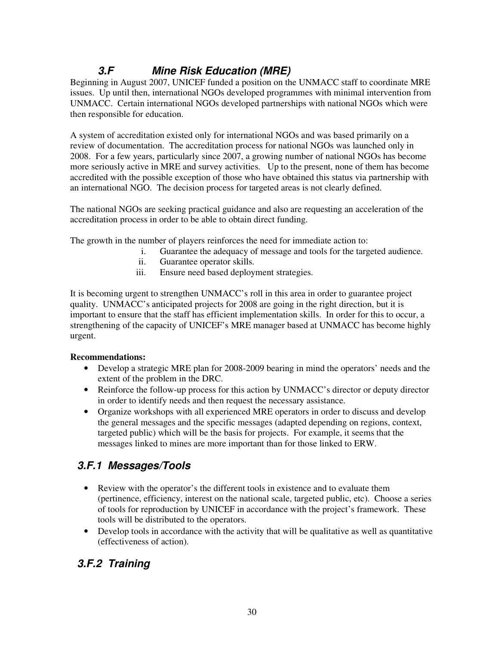# **3.F Mine Risk Education (MRE)**

Beginning in August 2007, UNICEF funded a position on the UNMACC staff to coordinate MRE issues. Up until then, international NGOs developed programmes with minimal intervention from UNMACC. Certain international NGOs developed partnerships with national NGOs which were then responsible for education.

A system of accreditation existed only for international NGOs and was based primarily on a review of documentation. The accreditation process for national NGOs was launched only in 2008. For a few years, particularly since 2007, a growing number of national NGOs has become more seriously active in MRE and survey activities. Up to the present, none of them has become accredited with the possible exception of those who have obtained this status via partnership with an international NGO. The decision process for targeted areas is not clearly defined.

The national NGOs are seeking practical guidance and also are requesting an acceleration of the accreditation process in order to be able to obtain direct funding.

The growth in the number of players reinforces the need for immediate action to:

- i. Guarantee the adequacy of message and tools for the targeted audience.
- ii. Guarantee operator skills.
- iii. Ensure need based deployment strategies.

It is becoming urgent to strengthen UNMACC's roll in this area in order to guarantee project quality. UNMACC's anticipated projects for 2008 are going in the right direction, but it is important to ensure that the staff has efficient implementation skills. In order for this to occur, a strengthening of the capacity of UNICEF's MRE manager based at UNMACC has become highly urgent.

### **Recommendations:**

- Develop a strategic MRE plan for 2008-2009 bearing in mind the operators' needs and the extent of the problem in the DRC.
- Reinforce the follow-up process for this action by UNMACC's director or deputy director in order to identify needs and then request the necessary assistance.
- Organize workshops with all experienced MRE operators in order to discuss and develop the general messages and the specific messages (adapted depending on regions, context, targeted public) which will be the basis for projects. For example, it seems that the messages linked to mines are more important than for those linked to ERW.

# **3.F.1 Messages/Tools**

- Review with the operator's the different tools in existence and to evaluate them (pertinence, efficiency, interest on the national scale, targeted public, etc). Choose a series of tools for reproduction by UNICEF in accordance with the project's framework. These tools will be distributed to the operators.
- Develop tools in accordance with the activity that will be qualitative as well as quantitative (effectiveness of action).

# **3.F.2 Training**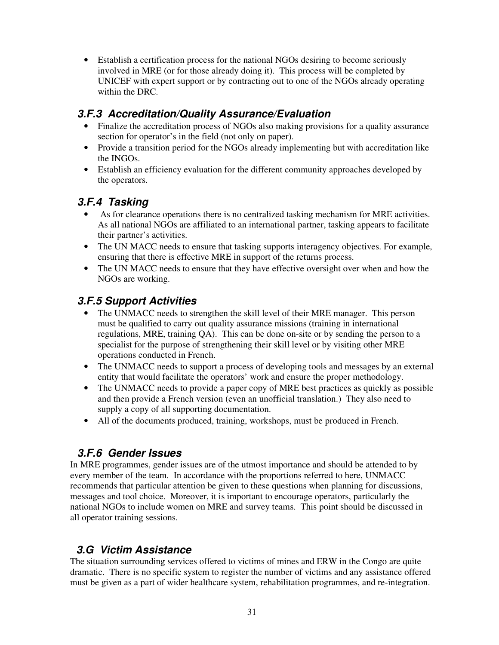• Establish a certification process for the national NGOs desiring to become seriously involved in MRE (or for those already doing it). This process will be completed by UNICEF with expert support or by contracting out to one of the NGOs already operating within the DRC.

### **3.F.3 Accreditation/Quality Assurance/Evaluation**

- Finalize the accreditation process of NGOs also making provisions for a quality assurance section for operator's in the field (not only on paper).
- Provide a transition period for the NGOs already implementing but with accreditation like the INGOs.
- Establish an efficiency evaluation for the different community approaches developed by the operators.

### **3.F.4 Tasking**

- As for clearance operations there is no centralized tasking mechanism for MRE activities. As all national NGOs are affiliated to an international partner, tasking appears to facilitate their partner's activities.
- The UN MACC needs to ensure that tasking supports interagency objectives. For example, ensuring that there is effective MRE in support of the returns process.
- The UN MACC needs to ensure that they have effective oversight over when and how the NGOs are working.

### **3.F.5 Support Activities**

- The UNMACC needs to strengthen the skill level of their MRE manager. This person must be qualified to carry out quality assurance missions (training in international regulations, MRE, training QA). This can be done on-site or by sending the person to a specialist for the purpose of strengthening their skill level or by visiting other MRE operations conducted in French.
- The UNMACC needs to support a process of developing tools and messages by an external entity that would facilitate the operators' work and ensure the proper methodology.
- The UNMACC needs to provide a paper copy of MRE best practices as quickly as possible and then provide a French version (even an unofficial translation.) They also need to supply a copy of all supporting documentation.
- All of the documents produced, training, workshops, must be produced in French.

# **3.F.6 Gender Issues**

In MRE programmes, gender issues are of the utmost importance and should be attended to by every member of the team. In accordance with the proportions referred to here, UNMACC recommends that particular attention be given to these questions when planning for discussions, messages and tool choice. Moreover, it is important to encourage operators, particularly the national NGOs to include women on MRE and survey teams. This point should be discussed in all operator training sessions.

### **3.G Victim Assistance**

The situation surrounding services offered to victims of mines and ERW in the Congo are quite dramatic. There is no specific system to register the number of victims and any assistance offered must be given as a part of wider healthcare system, rehabilitation programmes, and re-integration.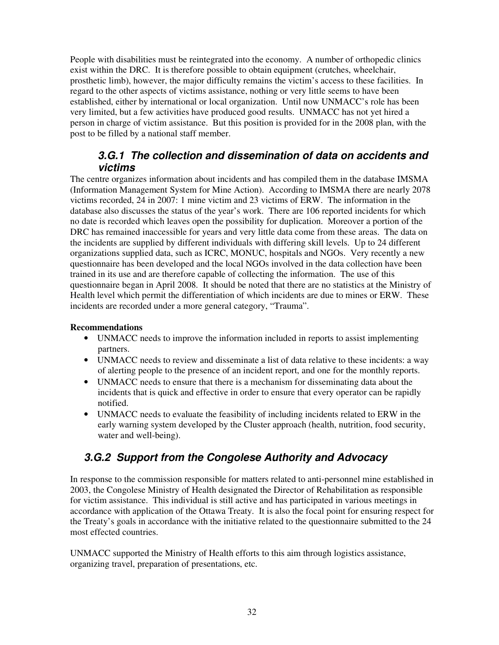People with disabilities must be reintegrated into the economy. A number of orthopedic clinics exist within the DRC. It is therefore possible to obtain equipment (crutches, wheelchair, prosthetic limb), however, the major difficulty remains the victim's access to these facilities. In regard to the other aspects of victims assistance, nothing or very little seems to have been established, either by international or local organization. Until now UNMACC's role has been very limited, but a few activities have produced good results. UNMACC has not yet hired a person in charge of victim assistance. But this position is provided for in the 2008 plan, with the post to be filled by a national staff member.

### **3.G.1 The collection and dissemination of data on accidents and victims**

The centre organizes information about incidents and has compiled them in the database IMSMA (Information Management System for Mine Action). According to IMSMA there are nearly 2078 victims recorded, 24 in 2007: 1 mine victim and 23 victims of ERW. The information in the database also discusses the status of the year's work. There are 106 reported incidents for which no date is recorded which leaves open the possibility for duplication. Moreover a portion of the DRC has remained inaccessible for years and very little data come from these areas. The data on the incidents are supplied by different individuals with differing skill levels. Up to 24 different organizations supplied data, such as ICRC, MONUC, hospitals and NGOs. Very recently a new questionnaire has been developed and the local NGOs involved in the data collection have been trained in its use and are therefore capable of collecting the information. The use of this questionnaire began in April 2008. It should be noted that there are no statistics at the Ministry of Health level which permit the differentiation of which incidents are due to mines or ERW. These incidents are recorded under a more general category, "Trauma".

#### **Recommendations**

- UNMACC needs to improve the information included in reports to assist implementing partners.
- UNMACC needs to review and disseminate a list of data relative to these incidents: a way of alerting people to the presence of an incident report, and one for the monthly reports.
- UNMACC needs to ensure that there is a mechanism for disseminating data about the incidents that is quick and effective in order to ensure that every operator can be rapidly notified.
- UNMACC needs to evaluate the feasibility of including incidents related to ERW in the early warning system developed by the Cluster approach (health, nutrition, food security, water and well-being).

### **3.G.2 Support from the Congolese Authority and Advocacy**

In response to the commission responsible for matters related to anti-personnel mine established in 2003, the Congolese Ministry of Health designated the Director of Rehabilitation as responsible for victim assistance. This individual is still active and has participated in various meetings in accordance with application of the Ottawa Treaty. It is also the focal point for ensuring respect for the Treaty's goals in accordance with the initiative related to the questionnaire submitted to the 24 most effected countries.

UNMACC supported the Ministry of Health efforts to this aim through logistics assistance, organizing travel, preparation of presentations, etc.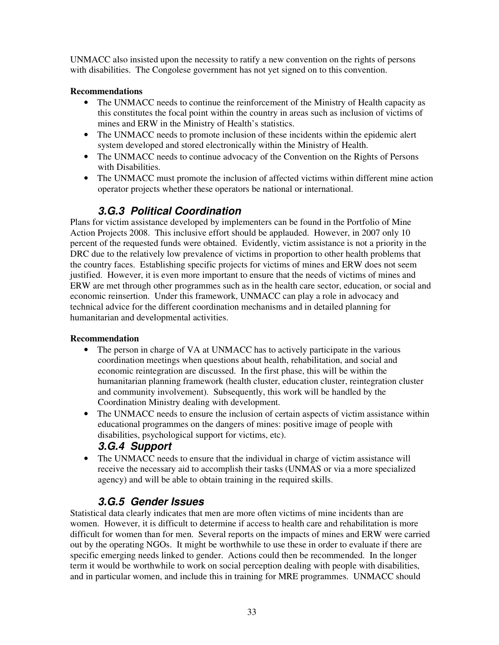UNMACC also insisted upon the necessity to ratify a new convention on the rights of persons with disabilities. The Congolese government has not yet signed on to this convention.

### **Recommendations**

- The UNMACC needs to continue the reinforcement of the Ministry of Health capacity as this constitutes the focal point within the country in areas such as inclusion of victims of mines and ERW in the Ministry of Health's statistics.
- The UNMACC needs to promote inclusion of these incidents within the epidemic alert system developed and stored electronically within the Ministry of Health.
- The UNMACC needs to continue advocacy of the Convention on the Rights of Persons with Disabilities.
- The UNMACC must promote the inclusion of affected victims within different mine action operator projects whether these operators be national or international.

# **3.G.3 Political Coordination**

Plans for victim assistance developed by implementers can be found in the Portfolio of Mine Action Projects 2008. This inclusive effort should be applauded. However, in 2007 only 10 percent of the requested funds were obtained. Evidently, victim assistance is not a priority in the DRC due to the relatively low prevalence of victims in proportion to other health problems that the country faces. Establishing specific projects for victims of mines and ERW does not seem justified. However, it is even more important to ensure that the needs of victims of mines and ERW are met through other programmes such as in the health care sector, education, or social and economic reinsertion. Under this framework, UNMACC can play a role in advocacy and technical advice for the different coordination mechanisms and in detailed planning for humanitarian and developmental activities.

### **Recommendation**

- The person in charge of VA at UNMACC has to actively participate in the various coordination meetings when questions about health, rehabilitation, and social and economic reintegration are discussed. In the first phase, this will be within the humanitarian planning framework (health cluster, education cluster, reintegration cluster and community involvement). Subsequently, this work will be handled by the Coordination Ministry dealing with development.
- The UNMACC needs to ensure the inclusion of certain aspects of victim assistance within educational programmes on the dangers of mines: positive image of people with disabilities, psychological support for victims, etc).

### **3.G.4 Support**

• The UNMACC needs to ensure that the individual in charge of victim assistance will receive the necessary aid to accomplish their tasks (UNMAS or via a more specialized agency) and will be able to obtain training in the required skills.

# **3.G.5 Gender Issues**

Statistical data clearly indicates that men are more often victims of mine incidents than are women. However, it is difficult to determine if access to health care and rehabilitation is more difficult for women than for men. Several reports on the impacts of mines and ERW were carried out by the operating NGOs. It might be worthwhile to use these in order to evaluate if there are specific emerging needs linked to gender. Actions could then be recommended. In the longer term it would be worthwhile to work on social perception dealing with people with disabilities, and in particular women, and include this in training for MRE programmes. UNMACC should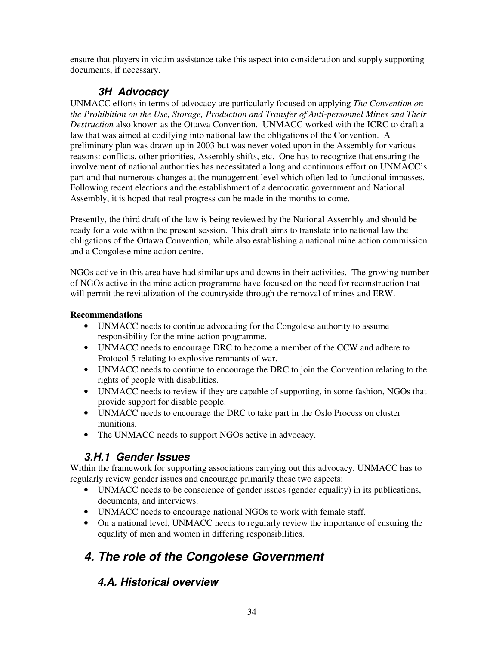ensure that players in victim assistance take this aspect into consideration and supply supporting documents, if necessary.

# **3H Advocacy**

UNMACC efforts in terms of advocacy are particularly focused on applying *The Convention on the Prohibition on the Use, Storage, Production and Transfer of Anti-personnel Mines and Their Destruction* also known as the Ottawa Convention. UNMACC worked with the ICRC to draft a law that was aimed at codifying into national law the obligations of the Convention. A preliminary plan was drawn up in 2003 but was never voted upon in the Assembly for various reasons: conflicts, other priorities, Assembly shifts, etc. One has to recognize that ensuring the involvement of national authorities has necessitated a long and continuous effort on UNMACC's part and that numerous changes at the management level which often led to functional impasses. Following recent elections and the establishment of a democratic government and National Assembly, it is hoped that real progress can be made in the months to come.

Presently, the third draft of the law is being reviewed by the National Assembly and should be ready for a vote within the present session. This draft aims to translate into national law the obligations of the Ottawa Convention, while also establishing a national mine action commission and a Congolese mine action centre.

NGOs active in this area have had similar ups and downs in their activities. The growing number of NGOs active in the mine action programme have focused on the need for reconstruction that will permit the revitalization of the countryside through the removal of mines and ERW.

### **Recommendations**

- UNMACC needs to continue advocating for the Congolese authority to assume responsibility for the mine action programme.
- UNMACC needs to encourage DRC to become a member of the CCW and adhere to Protocol 5 relating to explosive remnants of war.
- UNMACC needs to continue to encourage the DRC to join the Convention relating to the rights of people with disabilities.
- UNMACC needs to review if they are capable of supporting, in some fashion, NGOs that provide support for disable people.
- UNMACC needs to encourage the DRC to take part in the Oslo Process on cluster munitions.
- The UNMACC needs to support NGOs active in advocacy.

# **3.H.1 Gender Issues**

Within the framework for supporting associations carrying out this advocacy, UNMACC has to regularly review gender issues and encourage primarily these two aspects:

- UNMACC needs to be conscience of gender issues (gender equality) in its publications, documents, and interviews.
- UNMACC needs to encourage national NGOs to work with female staff.
- On a national level, UNMACC needs to regularly review the importance of ensuring the equality of men and women in differing responsibilities.

# **4. The role of the Congolese Government**

# **4.A. Historical overview**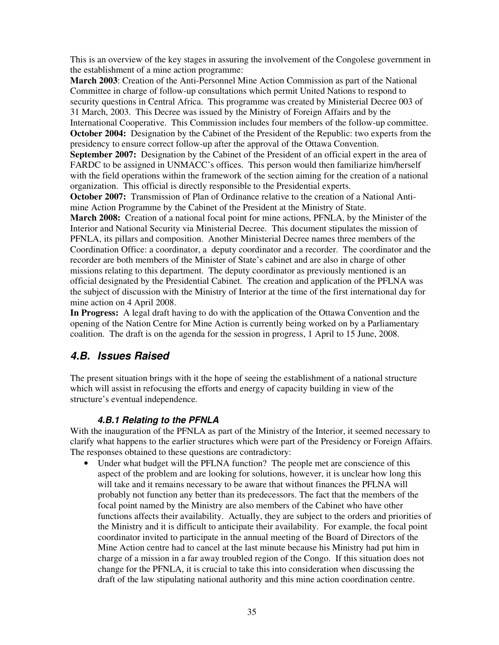This is an overview of the key stages in assuring the involvement of the Congolese government in the establishment of a mine action programme:

**March 2003**: Creation of the Anti-Personnel Mine Action Commission as part of the National Committee in charge of follow-up consultations which permit United Nations to respond to security questions in Central Africa. This programme was created by Ministerial Decree 003 of 31 March, 2003. This Decree was issued by the Ministry of Foreign Affairs and by the International Cooperative. This Commission includes four members of the follow-up committee. **October 2004:** Designation by the Cabinet of the President of the Republic: two experts from the presidency to ensure correct follow-up after the approval of the Ottawa Convention.

**September 2007:** Designation by the Cabinet of the President of an official expert in the area of FARDC to be assigned in UNMACC's offices. This person would then familiarize him/herself with the field operations within the framework of the section aiming for the creation of a national organization. This official is directly responsible to the Presidential experts.

**October 2007:** Transmission of Plan of Ordinance relative to the creation of a National Antimine Action Programme by the Cabinet of the President at the Ministry of State.

**March 2008:** Creation of a national focal point for mine actions, PFNLA, by the Minister of the Interior and National Security via Ministerial Decree. This document stipulates the mission of PFNLA, its pillars and composition. Another Ministerial Decree names three members of the Coordination Office: a coordinator, a deputy coordinator and a recorder. The coordinator and the recorder are both members of the Minister of State's cabinet and are also in charge of other missions relating to this department. The deputy coordinator as previously mentioned is an official designated by the Presidential Cabinet. The creation and application of the PFLNA was the subject of discussion with the Ministry of Interior at the time of the first international day for mine action on 4 April 2008.

**In Progress:** A legal draft having to do with the application of the Ottawa Convention and the opening of the Nation Centre for Mine Action is currently being worked on by a Parliamentary coalition. The draft is on the agenda for the session in progress, 1 April to 15 June, 2008.

### **4.B. Issues Raised**

The present situation brings with it the hope of seeing the establishment of a national structure which will assist in refocusing the efforts and energy of capacity building in view of the structure's eventual independence.

### **4.B.1 Relating to the PFNLA**

With the inauguration of the PFNLA as part of the Ministry of the Interior, it seemed necessary to clarify what happens to the earlier structures which were part of the Presidency or Foreign Affairs. The responses obtained to these questions are contradictory:

Under what budget will the PFLNA function? The people met are conscience of this aspect of the problem and are looking for solutions, however, it is unclear how long this will take and it remains necessary to be aware that without finances the PFLNA will probably not function any better than its predecessors. The fact that the members of the focal point named by the Ministry are also members of the Cabinet who have other functions affects their availability. Actually, they are subject to the orders and priorities of the Ministry and it is difficult to anticipate their availability. For example, the focal point coordinator invited to participate in the annual meeting of the Board of Directors of the Mine Action centre had to cancel at the last minute because his Ministry had put him in charge of a mission in a far away troubled region of the Congo. If this situation does not change for the PFNLA, it is crucial to take this into consideration when discussing the draft of the law stipulating national authority and this mine action coordination centre.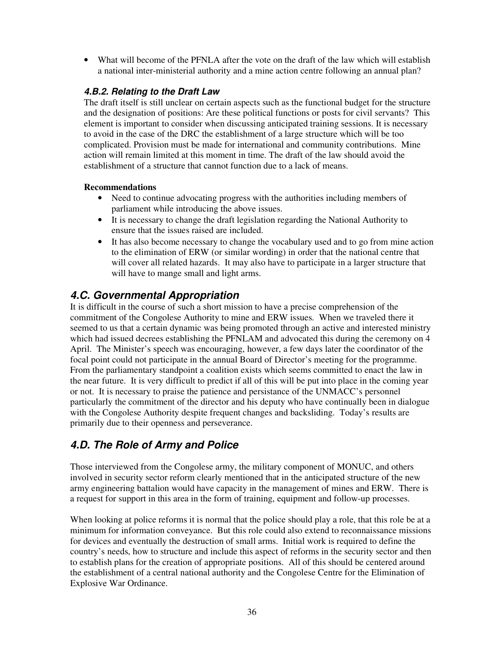• What will become of the PFNLA after the vote on the draft of the law which will establish a national inter-ministerial authority and a mine action centre following an annual plan?

### **4.B.2. Relating to the Draft Law**

The draft itself is still unclear on certain aspects such as the functional budget for the structure and the designation of positions: Are these political functions or posts for civil servants? This element is important to consider when discussing anticipated training sessions. It is necessary to avoid in the case of the DRC the establishment of a large structure which will be too complicated. Provision must be made for international and community contributions. Mine action will remain limited at this moment in time. The draft of the law should avoid the establishment of a structure that cannot function due to a lack of means.

### **Recommendations**

- Need to continue advocating progress with the authorities including members of parliament while introducing the above issues.
- It is necessary to change the draft legislation regarding the National Authority to ensure that the issues raised are included.
- It has also become necessary to change the vocabulary used and to go from mine action to the elimination of ERW (or similar wording) in order that the national centre that will cover all related hazards. It may also have to participate in a larger structure that will have to mange small and light arms.

### **4.C. Governmental Appropriation**

It is difficult in the course of such a short mission to have a precise comprehension of the commitment of the Congolese Authority to mine and ERW issues. When we traveled there it seemed to us that a certain dynamic was being promoted through an active and interested ministry which had issued decrees establishing the PFNLAM and advocated this during the ceremony on 4 April. The Minister's speech was encouraging, however, a few days later the coordinator of the focal point could not participate in the annual Board of Director's meeting for the programme. From the parliamentary standpoint a coalition exists which seems committed to enact the law in the near future. It is very difficult to predict if all of this will be put into place in the coming year or not. It is necessary to praise the patience and persistance of the UNMACC's personnel particularly the commitment of the director and his deputy who have continually been in dialogue with the Congolese Authority despite frequent changes and backsliding. Today's results are primarily due to their openness and perseverance.

# **4.D. The Role of Army and Police**

Those interviewed from the Congolese army, the military component of MONUC, and others involved in security sector reform clearly mentioned that in the anticipated structure of the new army engineering battalion would have capacity in the management of mines and ERW. There is a request for support in this area in the form of training, equipment and follow-up processes.

When looking at police reforms it is normal that the police should play a role, that this role be at a minimum for information conveyance. But this role could also extend to reconnaissance missions for devices and eventually the destruction of small arms. Initial work is required to define the country's needs, how to structure and include this aspect of reforms in the security sector and then to establish plans for the creation of appropriate positions. All of this should be centered around the establishment of a central national authority and the Congolese Centre for the Elimination of Explosive War Ordinance.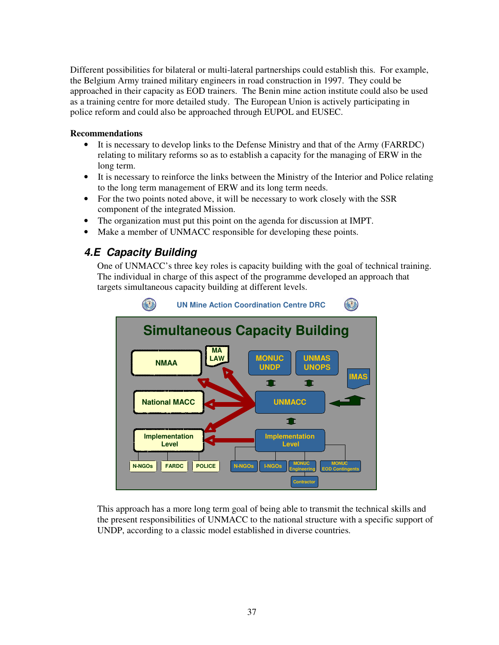Different possibilities for bilateral or multi-lateral partnerships could establish this. For example, the Belgium Army trained military engineers in road construction in 1997. They could be approached in their capacity as EOD trainers. The Benin mine action institute could also be used as a training centre for more detailed study. The European Union is actively participating in police reform and could also be approached through EUPOL and EUSEC.

#### **Recommendations**

- It is necessary to develop links to the Defense Ministry and that of the Army (FARRDC) relating to military reforms so as to establish a capacity for the managing of ERW in the long term.
- It is necessary to reinforce the links between the Ministry of the Interior and Police relating to the long term management of ERW and its long term needs.
- For the two points noted above, it will be necessary to work closely with the SSR component of the integrated Mission.
- The organization must put this point on the agenda for discussion at IMPT.
- Make a member of UNMACC responsible for developing these points.

### **4.E Capacity Building**

One of UNMACC's three key roles is capacity building with the goal of technical training. The individual in charge of this aspect of the programme developed an approach that targets simultaneous capacity building at different levels.



This approach has a more long term goal of being able to transmit the technical skills and the present responsibilities of UNMACC to the national structure with a specific support of UNDP, according to a classic model established in diverse countries.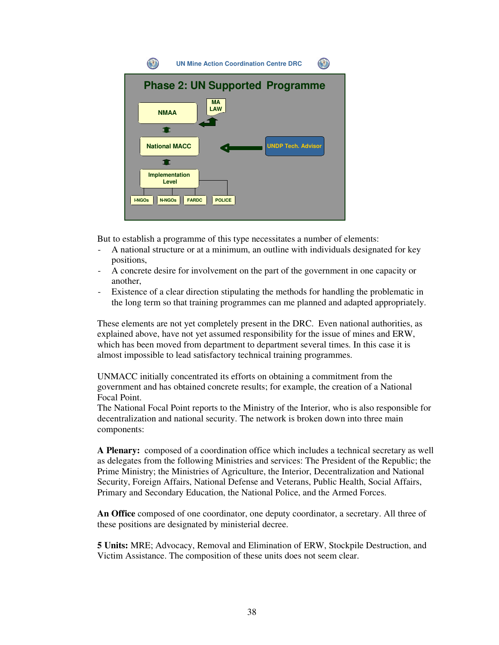

But to establish a programme of this type necessitates a number of elements:

- A national structure or at a minimum, an outline with individuals designated for key positions,
- A concrete desire for involvement on the part of the government in one capacity or another,
- Existence of a clear direction stipulating the methods for handling the problematic in the long term so that training programmes can me planned and adapted appropriately.

These elements are not yet completely present in the DRC. Even national authorities, as explained above, have not yet assumed responsibility for the issue of mines and ERW, which has been moved from department to department several times. In this case it is almost impossible to lead satisfactory technical training programmes.

UNMACC initially concentrated its efforts on obtaining a commitment from the government and has obtained concrete results; for example, the creation of a National Focal Point.

The National Focal Point reports to the Ministry of the Interior, who is also responsible for decentralization and national security. The network is broken down into three main components:

**A Plenary:** composed of a coordination office which includes a technical secretary as well as delegates from the following Ministries and services: The President of the Republic; the Prime Ministry; the Ministries of Agriculture, the Interior, Decentralization and National Security, Foreign Affairs, National Defense and Veterans, Public Health, Social Affairs, Primary and Secondary Education, the National Police, and the Armed Forces.

**An Office** composed of one coordinator, one deputy coordinator, a secretary. All three of these positions are designated by ministerial decree.

**5 Units:** MRE; Advocacy, Removal and Elimination of ERW, Stockpile Destruction, and Victim Assistance. The composition of these units does not seem clear.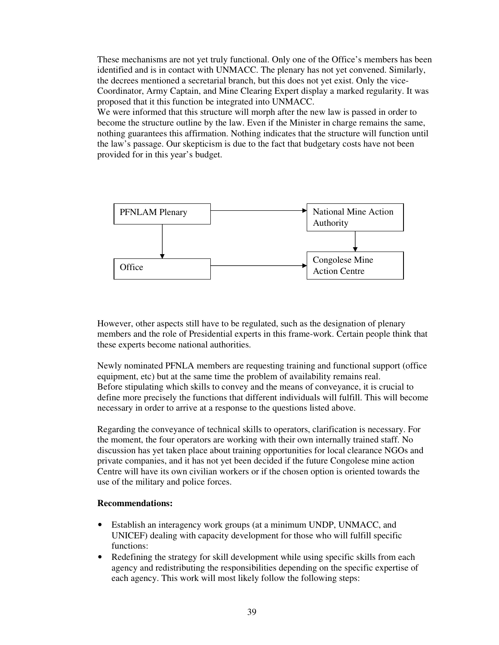These mechanisms are not yet truly functional. Only one of the Office's members has been identified and is in contact with UNMACC. The plenary has not yet convened. Similarly, the decrees mentioned a secretarial branch, but this does not yet exist. Only the vice-Coordinator, Army Captain, and Mine Clearing Expert display a marked regularity. It was proposed that it this function be integrated into UNMACC.

We were informed that this structure will morph after the new law is passed in order to become the structure outline by the law. Even if the Minister in charge remains the same, nothing guarantees this affirmation. Nothing indicates that the structure will function until the law's passage. Our skepticism is due to the fact that budgetary costs have not been provided for in this year's budget.



However, other aspects still have to be regulated, such as the designation of plenary members and the role of Presidential experts in this frame-work. Certain people think that these experts become national authorities.

Newly nominated PFNLA members are requesting training and functional support (office equipment, etc) but at the same time the problem of availability remains real. Before stipulating which skills to convey and the means of conveyance, it is crucial to define more precisely the functions that different individuals will fulfill. This will become necessary in order to arrive at a response to the questions listed above.

Regarding the conveyance of technical skills to operators, clarification is necessary. For the moment, the four operators are working with their own internally trained staff. No discussion has yet taken place about training opportunities for local clearance NGOs and private companies, and it has not yet been decided if the future Congolese mine action Centre will have its own civilian workers or if the chosen option is oriented towards the use of the military and police forces.

- Establish an interagency work groups (at a minimum UNDP, UNMACC, and UNICEF) dealing with capacity development for those who will fulfill specific functions:
- Redefining the strategy for skill development while using specific skills from each agency and redistributing the responsibilities depending on the specific expertise of each agency. This work will most likely follow the following steps: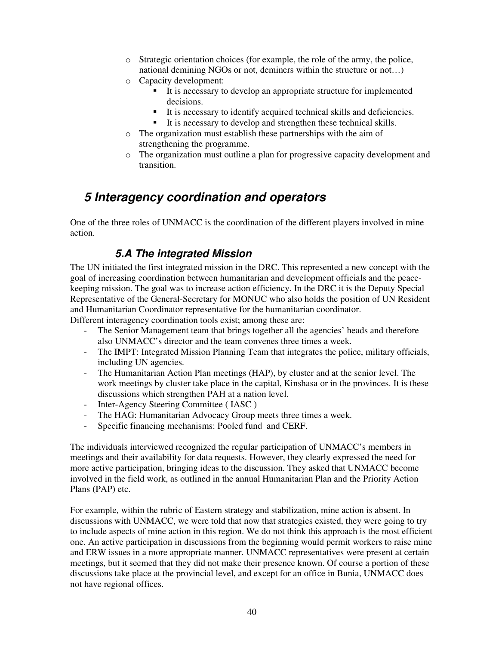- $\circ$  Strategic orientation choices (for example, the role of the army, the police, national demining NGOs or not, deminers within the structure or not…)
- o Capacity development:
	- It is necessary to develop an appropriate structure for implemented decisions.
	- It is necessary to identify acquired technical skills and deficiencies.
	- It is necessary to develop and strengthen these technical skills.
- o The organization must establish these partnerships with the aim of strengthening the programme.
- o The organization must outline a plan for progressive capacity development and transition.

# **5 Interagency coordination and operators**

One of the three roles of UNMACC is the coordination of the different players involved in mine action.

### **5.A The integrated Mission**

The UN initiated the first integrated mission in the DRC. This represented a new concept with the goal of increasing coordination between humanitarian and development officials and the peacekeeping mission. The goal was to increase action efficiency. In the DRC it is the Deputy Special Representative of the General-Secretary for MONUC who also holds the position of UN Resident and Humanitarian Coordinator representative for the humanitarian coordinator.

Different interagency coordination tools exist; among these are:

- The Senior Management team that brings together all the agencies' heads and therefore also UNMACC's director and the team convenes three times a week.
- The IMPT: Integrated Mission Planning Team that integrates the police, military officials, including UN agencies.
- The Humanitarian Action Plan meetings (HAP), by cluster and at the senior level. The work meetings by cluster take place in the capital, Kinshasa or in the provinces. It is these discussions which strengthen PAH at a nation level.
- Inter-Agency Steering Committee (IASC)
- The HAG: Humanitarian Advocacy Group meets three times a week.
- Specific financing mechanisms: Pooled fund and CERF.

The individuals interviewed recognized the regular participation of UNMACC's members in meetings and their availability for data requests. However, they clearly expressed the need for more active participation, bringing ideas to the discussion. They asked that UNMACC become involved in the field work, as outlined in the annual Humanitarian Plan and the Priority Action Plans (PAP) etc.

For example, within the rubric of Eastern strategy and stabilization, mine action is absent. In discussions with UNMACC, we were told that now that strategies existed, they were going to try to include aspects of mine action in this region. We do not think this approach is the most efficient one. An active participation in discussions from the beginning would permit workers to raise mine and ERW issues in a more appropriate manner. UNMACC representatives were present at certain meetings, but it seemed that they did not make their presence known. Of course a portion of these discussions take place at the provincial level, and except for an office in Bunia, UNMACC does not have regional offices.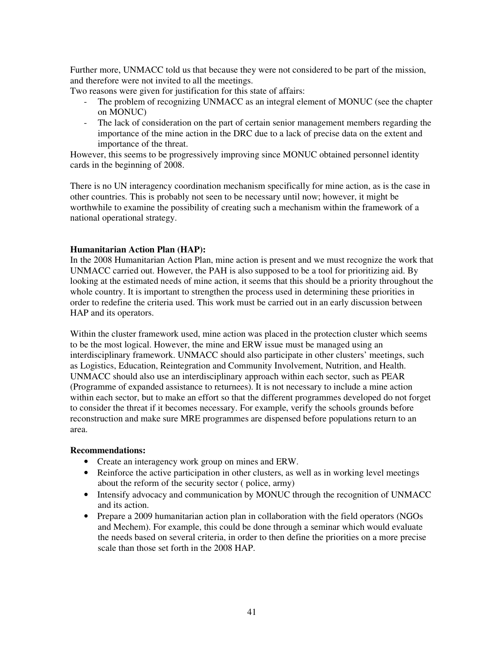Further more, UNMACC told us that because they were not considered to be part of the mission, and therefore were not invited to all the meetings.

Two reasons were given for justification for this state of affairs:

- The problem of recognizing UNMACC as an integral element of MONUC (see the chapter on MONUC)
- The lack of consideration on the part of certain senior management members regarding the importance of the mine action in the DRC due to a lack of precise data on the extent and importance of the threat.

However, this seems to be progressively improving since MONUC obtained personnel identity cards in the beginning of 2008.

There is no UN interagency coordination mechanism specifically for mine action, as is the case in other countries. This is probably not seen to be necessary until now; however, it might be worthwhile to examine the possibility of creating such a mechanism within the framework of a national operational strategy.

#### **Humanitarian Action Plan (HAP):**

In the 2008 Humanitarian Action Plan, mine action is present and we must recognize the work that UNMACC carried out. However, the PAH is also supposed to be a tool for prioritizing aid. By looking at the estimated needs of mine action, it seems that this should be a priority throughout the whole country. It is important to strengthen the process used in determining these priorities in order to redefine the criteria used. This work must be carried out in an early discussion between HAP and its operators.

Within the cluster framework used, mine action was placed in the protection cluster which seems to be the most logical. However, the mine and ERW issue must be managed using an interdisciplinary framework. UNMACC should also participate in other clusters' meetings, such as Logistics, Education, Reintegration and Community Involvement, Nutrition, and Health. UNMACC should also use an interdisciplinary approach within each sector, such as PEAR (Programme of expanded assistance to returnees). It is not necessary to include a mine action within each sector, but to make an effort so that the different programmes developed do not forget to consider the threat if it becomes necessary. For example, verify the schools grounds before reconstruction and make sure MRE programmes are dispensed before populations return to an area.

- Create an interagency work group on mines and ERW.
- Reinforce the active participation in other clusters, as well as in working level meetings about the reform of the security sector ( police, army)
- Intensify advocacy and communication by MONUC through the recognition of UNMACC and its action.
- Prepare a 2009 humanitarian action plan in collaboration with the field operators (NGOs and Mechem). For example, this could be done through a seminar which would evaluate the needs based on several criteria, in order to then define the priorities on a more precise scale than those set forth in the 2008 HAP.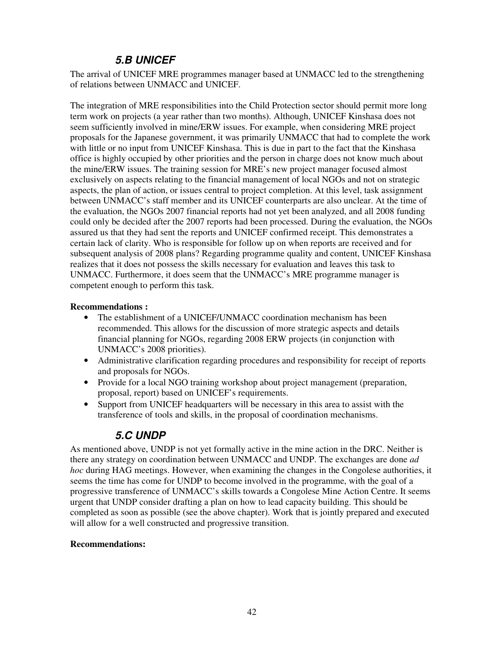# **5.B UNICEF**

The arrival of UNICEF MRE programmes manager based at UNMACC led to the strengthening of relations between UNMACC and UNICEF.

The integration of MRE responsibilities into the Child Protection sector should permit more long term work on projects (a year rather than two months). Although, UNICEF Kinshasa does not seem sufficiently involved in mine/ERW issues. For example, when considering MRE project proposals for the Japanese government, it was primarily UNMACC that had to complete the work with little or no input from UNICEF Kinshasa. This is due in part to the fact that the Kinshasa office is highly occupied by other priorities and the person in charge does not know much about the mine/ERW issues. The training session for MRE's new project manager focused almost exclusively on aspects relating to the financial management of local NGOs and not on strategic aspects, the plan of action, or issues central to project completion. At this level, task assignment between UNMACC's staff member and its UNICEF counterparts are also unclear. At the time of the evaluation, the NGOs 2007 financial reports had not yet been analyzed, and all 2008 funding could only be decided after the 2007 reports had been processed. During the evaluation, the NGOs assured us that they had sent the reports and UNICEF confirmed receipt. This demonstrates a certain lack of clarity. Who is responsible for follow up on when reports are received and for subsequent analysis of 2008 plans? Regarding programme quality and content, UNICEF Kinshasa realizes that it does not possess the skills necessary for evaluation and leaves this task to UNMACC. Furthermore, it does seem that the UNMACC's MRE programme manager is competent enough to perform this task.

### **Recommendations :**

- The establishment of a UNICEF/UNMACC coordination mechanism has been recommended. This allows for the discussion of more strategic aspects and details financial planning for NGOs, regarding 2008 ERW projects (in conjunction with UNMACC's 2008 priorities).
- Administrative clarification regarding procedures and responsibility for receipt of reports and proposals for NGOs.
- Provide for a local NGO training workshop about project management (preparation, proposal, report) based on UNICEF's requirements.
- Support from UNICEF headquarters will be necessary in this area to assist with the transference of tools and skills, in the proposal of coordination mechanisms.

### **5.C UNDP**

As mentioned above, UNDP is not yet formally active in the mine action in the DRC. Neither is there any strategy on coordination between UNMACC and UNDP. The exchanges are done *ad hoc* during HAG meetings. However, when examining the changes in the Congolese authorities, it seems the time has come for UNDP to become involved in the programme, with the goal of a progressive transference of UNMACC's skills towards a Congolese Mine Action Centre. It seems urgent that UNDP consider drafting a plan on how to lead capacity building. This should be completed as soon as possible (see the above chapter). Work that is jointly prepared and executed will allow for a well constructed and progressive transition.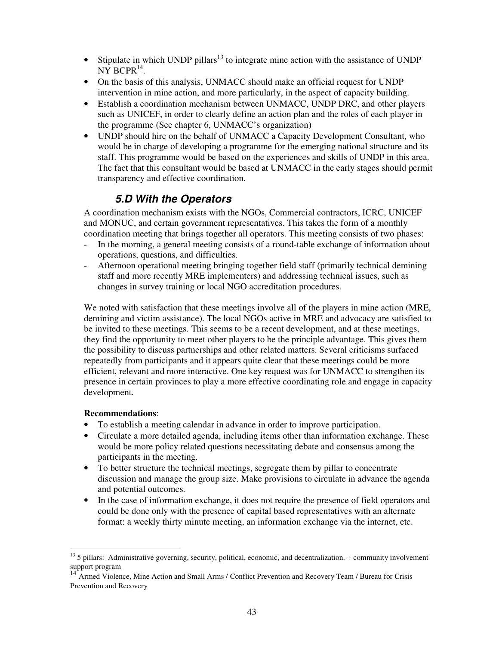- Stipulate in which UNDP pillars<sup>13</sup> to integrate mine action with the assistance of UNDP  $N\bar{Y}$  BCPR<sup>14</sup>.
- On the basis of this analysis, UNMACC should make an official request for UNDP intervention in mine action, and more particularly, in the aspect of capacity building.
- Establish a coordination mechanism between UNMACC, UNDP DRC, and other players such as UNICEF, in order to clearly define an action plan and the roles of each player in the programme (See chapter 6, UNMACC's organization)
- UNDP should hire on the behalf of UNMACC a Capacity Development Consultant, who would be in charge of developing a programme for the emerging national structure and its staff. This programme would be based on the experiences and skills of UNDP in this area. The fact that this consultant would be based at UNMACC in the early stages should permit transparency and effective coordination.

### **5.D With the Operators**

A coordination mechanism exists with the NGOs, Commercial contractors, ICRC, UNICEF and MONUC, and certain government representatives. This takes the form of a monthly coordination meeting that brings together all operators. This meeting consists of two phases:

- In the morning, a general meeting consists of a round-table exchange of information about operations, questions, and difficulties.
- Afternoon operational meeting bringing together field staff (primarily technical demining staff and more recently MRE implementers) and addressing technical issues, such as changes in survey training or local NGO accreditation procedures.

We noted with satisfaction that these meetings involve all of the players in mine action (MRE, demining and victim assistance). The local NGOs active in MRE and advocacy are satisfied to be invited to these meetings. This seems to be a recent development, and at these meetings, they find the opportunity to meet other players to be the principle advantage. This gives them the possibility to discuss partnerships and other related matters. Several criticisms surfaced repeatedly from participants and it appears quite clear that these meetings could be more efficient, relevant and more interactive. One key request was for UNMACC to strengthen its presence in certain provinces to play a more effective coordinating role and engage in capacity development.

- To establish a meeting calendar in advance in order to improve participation.
- Circulate a more detailed agenda, including items other than information exchange. These would be more policy related questions necessitating debate and consensus among the participants in the meeting.
- To better structure the technical meetings, segregate them by pillar to concentrate discussion and manage the group size. Make provisions to circulate in advance the agenda and potential outcomes.
- In the case of information exchange, it does not require the presence of field operators and could be done only with the presence of capital based representatives with an alternate format: a weekly thirty minute meeting, an information exchange via the internet, etc.

<sup>-</sup><sup>13</sup> 5 pillars: Administrative governing, security, political, economic, and decentralization. + community involvement support program

<sup>14</sup> Armed Violence, Mine Action and Small Arms / Conflict Prevention and Recovery Team / Bureau for Crisis Prevention and Recovery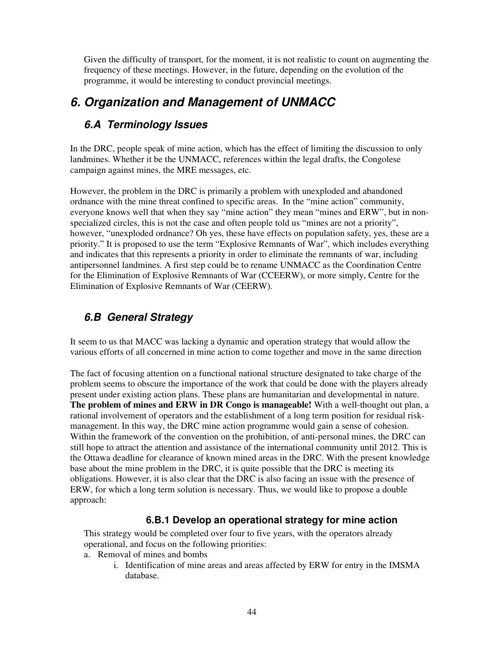Given the difficulty of transport, for the moment, it is not realistic to count on augmenting the frequency of these meetings. However, in the future, depending on the evolution of the programme, it would be interesting to conduct provincial meetings.

# **6. Organization and Management of UNMACC**

# **6.A Terminology Issues**

In the DRC, people speak of mine action, which has the effect of limiting the discussion to only landmines. Whether it be the UNMACC, references within the legal drafts, the Congolese campaign against mines, the MRE messages, etc.

However, the problem in the DRC is primarily a problem with unexploded and abandoned ordnance with the mine threat confined to specific areas. In the "mine action" community, everyone knows well that when they say "mine action" they mean "mines and ERW", but in nonspecialized circles, this is not the case and often people told us "mines are not a priority", however, "unexploded ordnance? Oh yes, these have effects on population safety, yes, these are a priority." It is proposed to use the term "Explosive Remnants of War", which includes everything and indicates that this represents a priority in order to eliminate the remnants of war, including antipersonnel landmines. A first step could be to rename UNMACC as the Coordination Centre for the Elimination of Explosive Remnants of War (CCEERW), or more simply, Centre for the Elimination of Explosive Remnants of War (CEERW).

# **6.B General Strategy**

It seem to us that MACC was lacking a dynamic and operation strategy that would allow the various efforts of all concerned in mine action to come together and move in the same direction

The fact of focusing attention on a functional national structure designated to take charge of the problem seems to obscure the importance of the work that could be done with the players already present under existing action plans. These plans are humanitarian and developmental in nature. **The problem of mines and ERW in DR Congo is manageable!** With a well-thought out plan, a rational involvement of operators and the establishment of a long term position for residual riskmanagement. In this way, the DRC mine action programme would gain a sense of cohesion. Within the framework of the convention on the prohibition, of anti-personal mines, the DRC can still hope to attract the attention and assistance of the international community until 2012. This is the Ottawa deadline for clearance of known mined areas in the DRC. With the present knowledge base about the mine problem in the DRC, it is quite possible that the DRC is meeting its obligations. However, it is also clear that the DRC is also facing an issue with the presence of ERW, for which a long term solution is necessary. Thus, we would like to propose a double approach:

### **6.B.1 Develop an operational strategy for mine action**

This strategy would be completed over four to five years, with the operators already operational, and focus on the following priorities:

- a. Removal of mines and bombs
	- i. Identification of mine areas and areas affected by ERW for entry in the IMSMA database.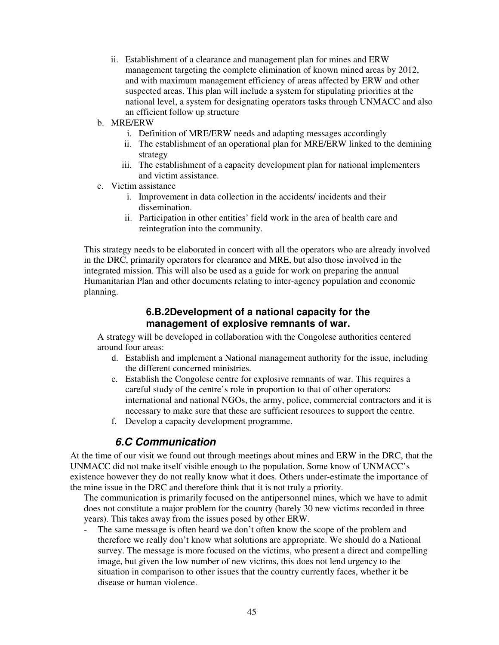- ii. Establishment of a clearance and management plan for mines and ERW management targeting the complete elimination of known mined areas by 2012, and with maximum management efficiency of areas affected by ERW and other suspected areas. This plan will include a system for stipulating priorities at the national level, a system for designating operators tasks through UNMACC and also an efficient follow up structure
- b. MRE/ERW
	- i. Definition of MRE/ERW needs and adapting messages accordingly
	- ii. The establishment of an operational plan for MRE/ERW linked to the demining strategy
	- iii. The establishment of a capacity development plan for national implementers and victim assistance.
- c. Victim assistance
	- i. Improvement in data collection in the accidents/ incidents and their dissemination.
	- ii. Participation in other entities' field work in the area of health care and reintegration into the community.

This strategy needs to be elaborated in concert with all the operators who are already involved in the DRC, primarily operators for clearance and MRE, but also those involved in the integrated mission. This will also be used as a guide for work on preparing the annual Humanitarian Plan and other documents relating to inter-agency population and economic planning.

### **6.B.2Development of a national capacity for the management of explosive remnants of war.**

A strategy will be developed in collaboration with the Congolese authorities centered around four areas:

- d. Establish and implement a National management authority for the issue, including the different concerned ministries.
- e. Establish the Congolese centre for explosive remnants of war. This requires a careful study of the centre's role in proportion to that of other operators: international and national NGOs, the army, police, commercial contractors and it is necessary to make sure that these are sufficient resources to support the centre.
- f. Develop a capacity development programme.

### **6.C Communication**

At the time of our visit we found out through meetings about mines and ERW in the DRC, that the UNMACC did not make itself visible enough to the population. Some know of UNMACC's existence however they do not really know what it does. Others under-estimate the importance of the mine issue in the DRC and therefore think that it is not truly a priority.

The communication is primarily focused on the antipersonnel mines, which we have to admit does not constitute a major problem for the country (barely 30 new victims recorded in three years). This takes away from the issues posed by other ERW.

The same message is often heard we don't often know the scope of the problem and therefore we really don't know what solutions are appropriate. We should do a National survey. The message is more focused on the victims, who present a direct and compelling image, but given the low number of new victims, this does not lend urgency to the situation in comparison to other issues that the country currently faces, whether it be disease or human violence.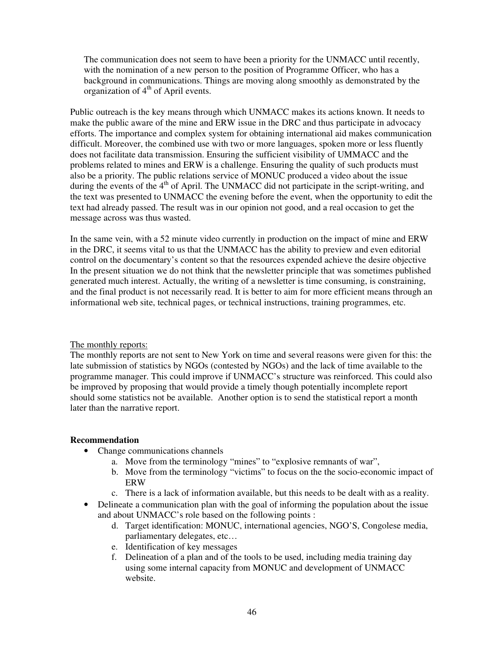The communication does not seem to have been a priority for the UNMACC until recently, with the nomination of a new person to the position of Programme Officer, who has a background in communications. Things are moving along smoothly as demonstrated by the organization of  $4<sup>th</sup>$  of April events.

Public outreach is the key means through which UNMACC makes its actions known. It needs to make the public aware of the mine and ERW issue in the DRC and thus participate in advocacy efforts. The importance and complex system for obtaining international aid makes communication difficult. Moreover, the combined use with two or more languages, spoken more or less fluently does not facilitate data transmission. Ensuring the sufficient visibility of UMMACC and the problems related to mines and ERW is a challenge. Ensuring the quality of such products must also be a priority. The public relations service of MONUC produced a video about the issue during the events of the 4<sup>th</sup> of April. The UNMACC did not participate in the script-writing, and the text was presented to UNMACC the evening before the event, when the opportunity to edit the text had already passed. The result was in our opinion not good, and a real occasion to get the message across was thus wasted.

In the same vein, with a 52 minute video currently in production on the impact of mine and ERW in the DRC, it seems vital to us that the UNMACC has the ability to preview and even editorial control on the documentary's content so that the resources expended achieve the desire objective In the present situation we do not think that the newsletter principle that was sometimes published generated much interest. Actually, the writing of a newsletter is time consuming, is constraining, and the final product is not necessarily read. It is better to aim for more efficient means through an informational web site, technical pages, or technical instructions, training programmes, etc.

#### The monthly reports:

The monthly reports are not sent to New York on time and several reasons were given for this: the late submission of statistics by NGOs (contested by NGOs) and the lack of time available to the programme manager. This could improve if UNMACC's structure was reinforced. This could also be improved by proposing that would provide a timely though potentially incomplete report should some statistics not be available. Another option is to send the statistical report a month later than the narrative report.

- Change communications channels
	- a. Move from the terminology "mines" to "explosive remnants of war",
	- b. Move from the terminology "victims" to focus on the the socio-economic impact of ERW
	- c. There is a lack of information available, but this needs to be dealt with as a reality.
- Delineate a communication plan with the goal of informing the population about the issue and about UNMACC's role based on the following points :
	- d. Target identification: MONUC, international agencies, NGO'S, Congolese media, parliamentary delegates, etc…
	- e. Identification of key messages
	- f. Delineation of a plan and of the tools to be used, including media training day using some internal capacity from MONUC and development of UNMACC website.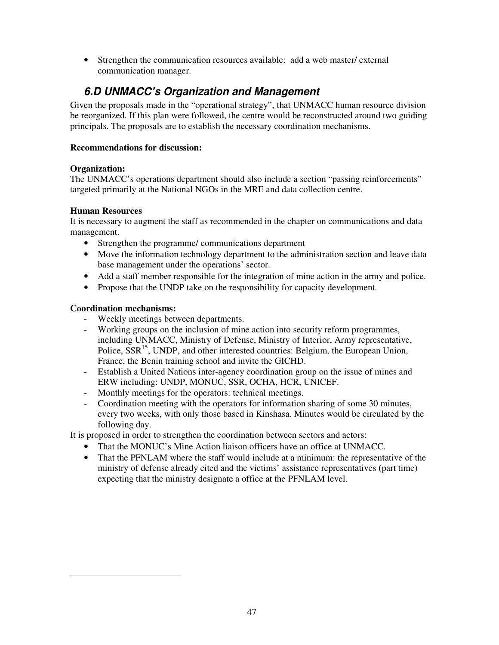• Strengthen the communication resources available: add a web master/ external communication manager.

# **6.D UNMACC's Organization and Management**

Given the proposals made in the "operational strategy", that UNMACC human resource division be reorganized. If this plan were followed, the centre would be reconstructed around two guiding principals. The proposals are to establish the necessary coordination mechanisms.

### **Recommendations for discussion:**

### **Organization:**

The UNMACC's operations department should also include a section "passing reinforcements" targeted primarily at the National NGOs in the MRE and data collection centre.

### **Human Resources**

It is necessary to augment the staff as recommended in the chapter on communications and data management.

- Strengthen the programme/ communications department
- Move the information technology department to the administration section and leave data base management under the operations' sector.
- Add a staff member responsible for the integration of mine action in the army and police.
- Propose that the UNDP take on the responsibility for capacity development.

### **Coordination mechanisms:**

-

- Weekly meetings between departments.
- Working groups on the inclusion of mine action into security reform programmes, including UNMACC, Ministry of Defense, Ministry of Interior, Army representative, Police, SSR<sup>15</sup>, UNDP, and other interested countries: Belgium, the European Union, France, the Benin training school and invite the GICHD.
- Establish a United Nations inter-agency coordination group on the issue of mines and ERW including: UNDP, MONUC, SSR, OCHA, HCR, UNICEF.
- Monthly meetings for the operators: technical meetings.
- Coordination meeting with the operators for information sharing of some 30 minutes, every two weeks, with only those based in Kinshasa. Minutes would be circulated by the following day.

It is proposed in order to strengthen the coordination between sectors and actors:

- That the MONUC's Mine Action liaison officers have an office at UNMACC.
- That the PFNLAM where the staff would include at a minimum: the representative of the ministry of defense already cited and the victims' assistance representatives (part time) expecting that the ministry designate a office at the PFNLAM level.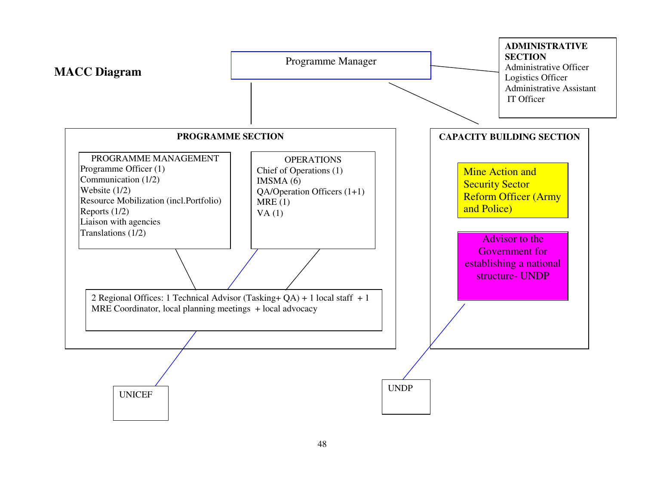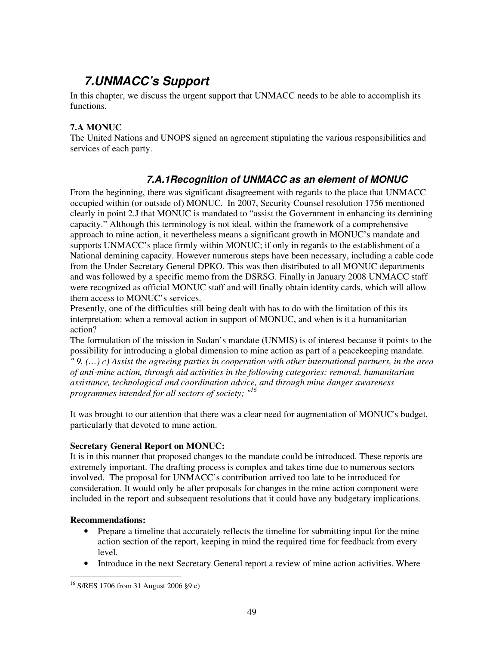# **7.UNMACC's Support**

In this chapter, we discuss the urgent support that UNMACC needs to be able to accomplish its functions.

### **7.A MONUC**

The United Nations and UNOPS signed an agreement stipulating the various responsibilities and services of each party.

### **7.A.1Recognition of UNMACC as an element of MONUC**

From the beginning, there was significant disagreement with regards to the place that UNMACC occupied within (or outside of) MONUC. In 2007, Security Counsel resolution 1756 mentioned clearly in point 2.J that MONUC is mandated to "assist the Government in enhancing its demining capacity." Although this terminology is not ideal, within the framework of a comprehensive approach to mine action, it nevertheless means a significant growth in MONUC's mandate and supports UNMACC's place firmly within MONUC; if only in regards to the establishment of a National demining capacity. However numerous steps have been necessary, including a cable code from the Under Secretary General DPKO. This was then distributed to all MONUC departments and was followed by a specific memo from the DSRSG. Finally in January 2008 UNMACC staff were recognized as official MONUC staff and will finally obtain identity cards, which will allow them access to MONUC's services.

Presently, one of the difficulties still being dealt with has to do with the limitation of this its interpretation: when a removal action in support of MONUC, and when is it a humanitarian action?

The formulation of the mission in Sudan's mandate (UNMIS) is of interest because it points to the possibility for introducing a global dimension to mine action as part of a peacekeeping mandate. *" 9. (…) c) Assist the agreeing parties in cooperation with other international partners, in the area of anti-mine action, through aid activities in the following categories: removal, humanitarian assistance, technological and coordination advice, and through mine danger awareness programmes intended for all sectors of society; "<sup>16</sup>*

It was brought to our attention that there was a clear need for augmentation of MONUC's budget, particularly that devoted to mine action.

### **Secretary General Report on MONUC:**

It is in this manner that proposed changes to the mandate could be introduced. These reports are extremely important. The drafting process is complex and takes time due to numerous sectors involved. The proposal for UNMACC's contribution arrived too late to be introduced for consideration. It would only be after proposals for changes in the mine action component were included in the report and subsequent resolutions that it could have any budgetary implications.

- Prepare a timeline that accurately reflects the timeline for submitting input for the mine action section of the report, keeping in mind the required time for feedback from every level.
- Introduce in the next Secretary General report a review of mine action activities. Where

<sup>-</sup><sup>16</sup> S/RES 1706 from 31 August 2006 §9 c)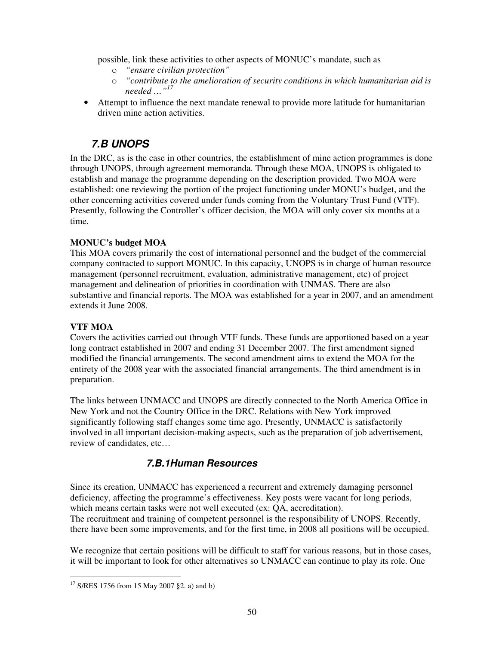possible, link these activities to other aspects of MONUC's mandate, such as

- o *"ensure civilian protection"*
- o *"contribute to the amelioration of security conditions in which humanitarian aid is needed …"<sup>17</sup>*
- Attempt to influence the next mandate renewal to provide more latitude for humanitarian driven mine action activities.

# **7.B UNOPS**

In the DRC, as is the case in other countries, the establishment of mine action programmes is done through UNOPS, through agreement memoranda. Through these MOA, UNOPS is obligated to establish and manage the programme depending on the description provided. Two MOA were established: one reviewing the portion of the project functioning under MONU's budget, and the other concerning activities covered under funds coming from the Voluntary Trust Fund (VTF). Presently, following the Controller's officer decision, the MOA will only cover six months at a time.

### **MONUC's budget MOA**

This MOA covers primarily the cost of international personnel and the budget of the commercial company contracted to support MONUC. In this capacity, UNOPS is in charge of human resource management (personnel recruitment, evaluation, administrative management, etc) of project management and delineation of priorities in coordination with UNMAS. There are also substantive and financial reports. The MOA was established for a year in 2007, and an amendment extends it June 2008.

### **VTF MOA**

Covers the activities carried out through VTF funds. These funds are apportioned based on a year long contract established in 2007 and ending 31 December 2007. The first amendment signed modified the financial arrangements. The second amendment aims to extend the MOA for the entirety of the 2008 year with the associated financial arrangements. The third amendment is in preparation.

The links between UNMACC and UNOPS are directly connected to the North America Office in New York and not the Country Office in the DRC. Relations with New York improved significantly following staff changes some time ago. Presently, UNMACC is satisfactorily involved in all important decision-making aspects, such as the preparation of job advertisement, review of candidates, etc…

### **7.B.1Human Resources**

Since its creation, UNMACC has experienced a recurrent and extremely damaging personnel deficiency, affecting the programme's effectiveness. Key posts were vacant for long periods, which means certain tasks were not well executed (ex: QA, accreditation). The recruitment and training of competent personnel is the responsibility of UNOPS. Recently, there have been some improvements, and for the first time, in 2008 all positions will be occupied.

We recognize that certain positions will be difficult to staff for various reasons, but in those cases, it will be important to look for other alternatives so UNMACC can continue to play its role. One

<sup>-</sup> $17$  S/RES 1756 from 15 May 2007 §2. a) and b)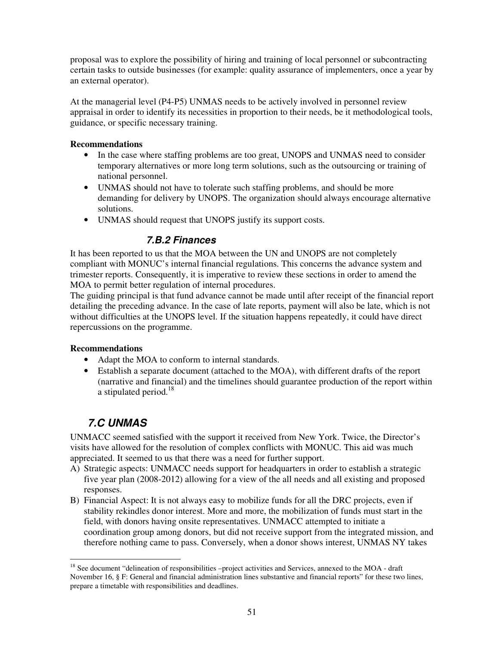proposal was to explore the possibility of hiring and training of local personnel or subcontracting certain tasks to outside businesses (for example: quality assurance of implementers, once a year by an external operator).

At the managerial level (P4-P5) UNMAS needs to be actively involved in personnel review appraisal in order to identify its necessities in proportion to their needs, be it methodological tools, guidance, or specific necessary training.

#### **Recommendations**

- In the case where staffing problems are too great, UNOPS and UNMAS need to consider temporary alternatives or more long term solutions, such as the outsourcing or training of national personnel.
- UNMAS should not have to tolerate such staffing problems, and should be more demanding for delivery by UNOPS. The organization should always encourage alternative solutions.
- UNMAS should request that UNOPS justify its support costs.

### **7.B.2 Finances**

It has been reported to us that the MOA between the UN and UNOPS are not completely compliant with MONUC's internal financial regulations. This concerns the advance system and trimester reports. Consequently, it is imperative to review these sections in order to amend the MOA to permit better regulation of internal procedures.

The guiding principal is that fund advance cannot be made until after receipt of the financial report detailing the preceding advance. In the case of late reports, payment will also be late, which is not without difficulties at the UNOPS level. If the situation happens repeatedly, it could have direct repercussions on the programme.

### **Recommendations**

- Adapt the MOA to conform to internal standards.
- Establish a separate document (attached to the MOA), with different drafts of the report (narrative and financial) and the timelines should guarantee production of the report within a stipulated period.<sup>18</sup>

### **7.C UNMAS**

UNMACC seemed satisfied with the support it received from New York. Twice, the Director's visits have allowed for the resolution of complex conflicts with MONUC. This aid was much appreciated. It seemed to us that there was a need for further support.

- A) Strategic aspects: UNMACC needs support for headquarters in order to establish a strategic five year plan (2008-2012) allowing for a view of the all needs and all existing and proposed responses.
- B) Financial Aspect: It is not always easy to mobilize funds for all the DRC projects, even if stability rekindles donor interest. More and more, the mobilization of funds must start in the field, with donors having onsite representatives. UNMACC attempted to initiate a coordination group among donors, but did not receive support from the integrated mission, and therefore nothing came to pass. Conversely, when a donor shows interest, UNMAS NY takes

<sup>-</sup><sup>18</sup> See document "delineation of responsibilities –project activities and Services, annexed to the MOA - draft November 16, § F: General and financial administration lines substantive and financial reports" for these two lines, prepare a timetable with responsibilities and deadlines.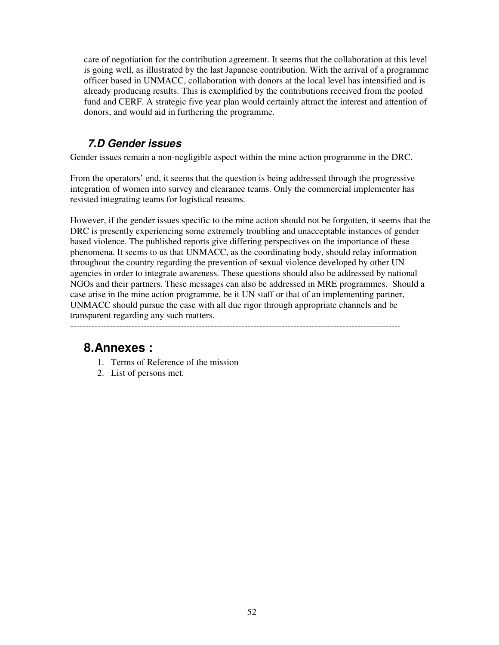care of negotiation for the contribution agreement. It seems that the collaboration at this level is going well, as illustrated by the last Japanese contribution. With the arrival of a programme officer based in UNMACC, collaboration with donors at the local level has intensified and is already producing results. This is exemplified by the contributions received from the pooled fund and CERF. A strategic five year plan would certainly attract the interest and attention of donors, and would aid in furthering the programme.

### **7.D Gender issues**

Gender issues remain a non-negligible aspect within the mine action programme in the DRC.

From the operators' end, it seems that the question is being addressed through the progressive integration of women into survey and clearance teams. Only the commercial implementer has resisted integrating teams for logistical reasons.

However, if the gender issues specific to the mine action should not be forgotten, it seems that the DRC is presently experiencing some extremely troubling and unacceptable instances of gender based violence. The published reports give differing perspectives on the importance of these phenomena. It seems to us that UNMACC, as the coordinating body, should relay information throughout the country regarding the prevention of sexual violence developed by other UN agencies in order to integrate awareness. These questions should also be addressed by national NGOs and their partners. These messages can also be addressed in MRE programmes. Should a case arise in the mine action programme, be it UN staff or that of an implementing partner, UNMACC should pursue the case with all due rigor through appropriate channels and be transparent regarding any such matters.

------------------------------------------------------------------------------------------------------------

# **8.Annexes :**

- 1. Terms of Reference of the mission
- 2. List of persons met.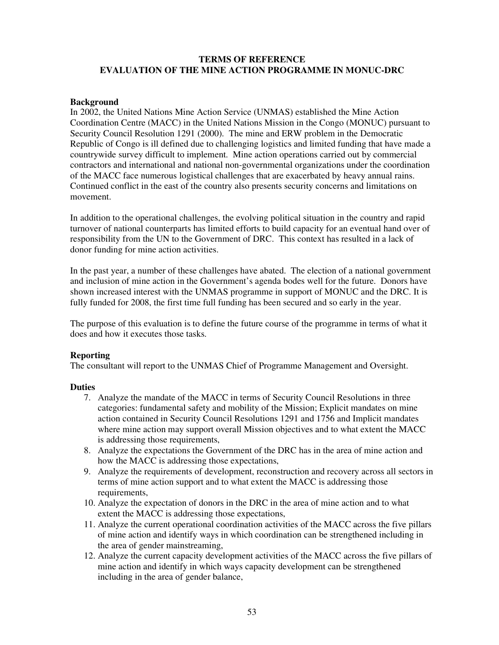#### **TERMS OF REFERENCE EVALUATION OF THE MINE ACTION PROGRAMME IN MONUC-DRC**

#### **Background**

In 2002, the United Nations Mine Action Service (UNMAS) established the Mine Action Coordination Centre (MACC) in the United Nations Mission in the Congo (MONUC) pursuant to Security Council Resolution 1291 (2000). The mine and ERW problem in the Democratic Republic of Congo is ill defined due to challenging logistics and limited funding that have made a countrywide survey difficult to implement. Mine action operations carried out by commercial contractors and international and national non-governmental organizations under the coordination of the MACC face numerous logistical challenges that are exacerbated by heavy annual rains. Continued conflict in the east of the country also presents security concerns and limitations on movement.

In addition to the operational challenges, the evolving political situation in the country and rapid turnover of national counterparts has limited efforts to build capacity for an eventual hand over of responsibility from the UN to the Government of DRC. This context has resulted in a lack of donor funding for mine action activities.

In the past year, a number of these challenges have abated. The election of a national government and inclusion of mine action in the Government's agenda bodes well for the future. Donors have shown increased interest with the UNMAS programme in support of MONUC and the DRC. It is fully funded for 2008, the first time full funding has been secured and so early in the year.

The purpose of this evaluation is to define the future course of the programme in terms of what it does and how it executes those tasks.

#### **Reporting**

The consultant will report to the UNMAS Chief of Programme Management and Oversight.

#### **Duties**

- 7. Analyze the mandate of the MACC in terms of Security Council Resolutions in three categories: fundamental safety and mobility of the Mission; Explicit mandates on mine action contained in Security Council Resolutions 1291 and 1756 and Implicit mandates where mine action may support overall Mission objectives and to what extent the MACC is addressing those requirements,
- 8. Analyze the expectations the Government of the DRC has in the area of mine action and how the MACC is addressing those expectations,
- 9. Analyze the requirements of development, reconstruction and recovery across all sectors in terms of mine action support and to what extent the MACC is addressing those requirements,
- 10. Analyze the expectation of donors in the DRC in the area of mine action and to what extent the MACC is addressing those expectations,
- 11. Analyze the current operational coordination activities of the MACC across the five pillars of mine action and identify ways in which coordination can be strengthened including in the area of gender mainstreaming,
- 12. Analyze the current capacity development activities of the MACC across the five pillars of mine action and identify in which ways capacity development can be strengthened including in the area of gender balance,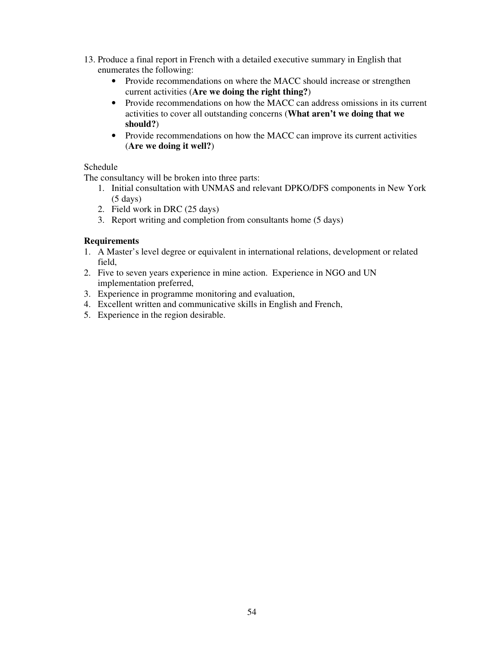- 13. Produce a final report in French with a detailed executive summary in English that enumerates the following:
	- Provide recommendations on where the MACC should increase or strengthen current activities (**Are we doing the right thing?**)
	- Provide recommendations on how the MACC can address omissions in its current activities to cover all outstanding concerns (**What aren't we doing that we should?**)
	- Provide recommendations on how the MACC can improve its current activities (**Are we doing it well?**)

#### Schedule

The consultancy will be broken into three parts:

- 1. Initial consultation with UNMAS and relevant DPKO/DFS components in New York  $(5 \text{ days})$
- 2. Field work in DRC (25 days)
- 3. Report writing and completion from consultants home (5 days)

### **Requirements**

- 1. A Master's level degree or equivalent in international relations, development or related field,
- 2. Five to seven years experience in mine action. Experience in NGO and UN implementation preferred,
- 3. Experience in programme monitoring and evaluation,
- 4. Excellent written and communicative skills in English and French,
- 5. Experience in the region desirable.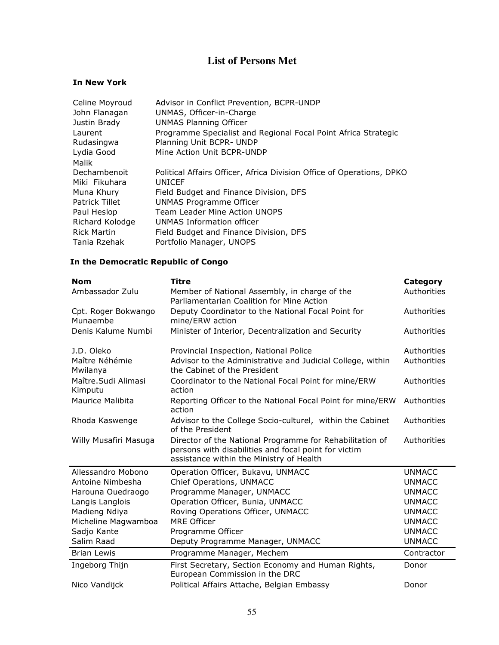### **List of Persons Met**

#### In New York

| Celine Moyroud     | Advisor in Conflict Prevention, BCPR-UNDP                             |
|--------------------|-----------------------------------------------------------------------|
| John Flanagan      | UNMAS, Officer-in-Charge                                              |
| Justin Brady       | <b>UNMAS Planning Officer</b>                                         |
| Laurent            | Programme Specialist and Regional Focal Point Africa Strategic        |
| Rudasingwa         | Planning Unit BCPR-UNDP                                               |
| Lydia Good         | Mine Action Unit BCPR-UNDP                                            |
| Malik              |                                                                       |
| Dechambenoit       | Political Affairs Officer, Africa Division Office of Operations, DPKO |
| Miki Fikuhara      | UNICEF                                                                |
| Muna Khury         | Field Budget and Finance Division, DFS                                |
| Patrick Tillet     | UNMAS Programme Officer                                               |
| Paul Heslop        | Team Leader Mine Action UNOPS                                         |
| Richard Kolodge    | UNMAS Information officer                                             |
| <b>Rick Martin</b> | Field Budget and Finance Division, DFS                                |
| Tania Rzehak       | Portfolio Manager, UNOPS                                              |

### In the Democratic Republic of Congo

| <b>Nom</b>                      | <b>Titre</b>                                                                                                                                                 | <b>Category</b> |
|---------------------------------|--------------------------------------------------------------------------------------------------------------------------------------------------------------|-----------------|
| Ambassador Zulu                 | Member of National Assembly, in charge of the<br>Parliamentarian Coalition for Mine Action                                                                   | Authorities     |
| Cpt. Roger Bokwango<br>Munaembe | Deputy Coordinator to the National Focal Point for<br>mine/ERW action                                                                                        | Authorities     |
| Denis Kalume Numbi              | Minister of Interior, Decentralization and Security                                                                                                          | Authorities     |
| J.D. Oleko                      | Provincial Inspection, National Police                                                                                                                       | Authorities     |
| Maître Néhémie<br>Mwilanya      | Advisor to the Administrative and Judicial College, within<br>the Cabinet of the President                                                                   | Authorities     |
| Maître.Sudi Alimasi<br>Kimputu  | Coordinator to the National Focal Point for mine/ERW<br>action                                                                                               | Authorities     |
| Maurice Malibita                | Reporting Officer to the National Focal Point for mine/ERW<br>action                                                                                         | Authorities     |
| Rhoda Kaswenge                  | Advisor to the College Socio-culturel, within the Cabinet<br>of the President                                                                                | Authorities     |
| Willy Musafiri Masuga           | Director of the National Programme for Rehabilitation of<br>persons with disabilities and focal point for victim<br>assistance within the Ministry of Health | Authorities     |
| Allessandro Mobono              | Operation Officer, Bukavu, UNMACC                                                                                                                            | <b>UNMACC</b>   |
| Antoine Nimbesha                | Chief Operations, UNMACC                                                                                                                                     | <b>UNMACC</b>   |
| Harouna Ouedraogo               | Programme Manager, UNMACC                                                                                                                                    | <b>UNMACC</b>   |
| Langis Langlois                 | Operation Officer, Bunia, UNMACC                                                                                                                             | <b>UNMACC</b>   |
| Madieng Ndiya                   | Roving Operations Officer, UNMACC                                                                                                                            | <b>UNMACC</b>   |
| Micheline Magwamboa             | <b>MRE Officer</b>                                                                                                                                           | <b>UNMACC</b>   |
| Sadjo Kante                     | Programme Officer                                                                                                                                            | <b>UNMACC</b>   |
| Salim Raad                      | Deputy Programme Manager, UNMACC                                                                                                                             | <b>UNMACC</b>   |
| <b>Brian Lewis</b>              | Programme Manager, Mechem                                                                                                                                    | Contractor      |
| Ingeborg Thijn                  | First Secretary, Section Economy and Human Rights,<br>European Commission in the DRC                                                                         | Donor           |
| Nico Vandijck                   | Political Affairs Attache, Belgian Embassy                                                                                                                   | Donor           |